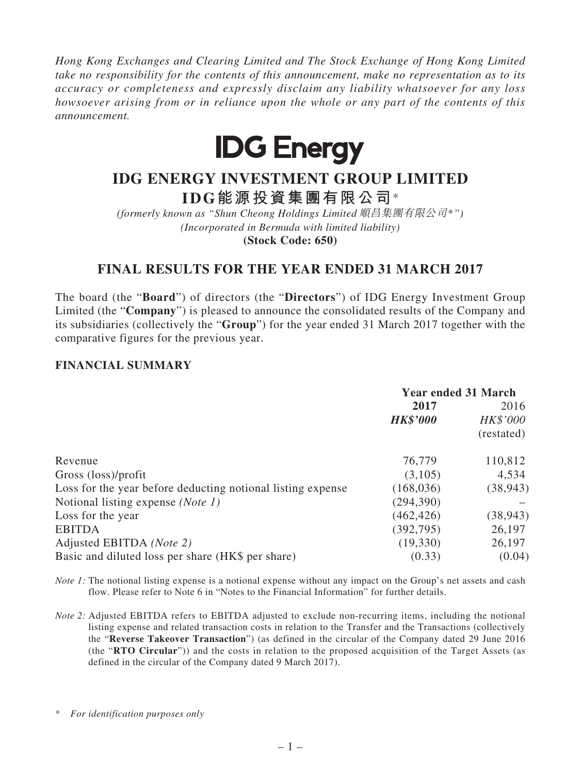*Hong Kong Exchanges and Clearing Limited and The Stock Exchange of Hong Kong Limited take no responsibility for the contents of this announcement, make no representation as to its accuracy or completeness and expressly disclaim any liability whatsoever for any loss howsoever arising from or in reliance upon the whole or any part of the contents of this announcement.*



# **IDG ENERGY INVESTMENT GROUP LIMITED IDG能源投資集團有限公司**\*

*(formerly known as "Shun Cheong Holdings Limited* 順昌集團有限公司\**") (Incorporated in Bermuda with limited liability)* **(Stock Code: 650)**

# **FINAL RESULTS FOR THE YEAR ENDED 31 MARCH 2017**

The board (the "**Board**") of directors (the "**Directors**") of IDG Energy Investment Group Limited (the "**Company**") is pleased to announce the consolidated results of the Company and its subsidiaries (collectively the "**Group**") for the year ended 31 March 2017 together with the comparative figures for the previous year.

# **FINANCIAL SUMMARY**

|                                                             | <b>Year ended 31 March</b> |            |
|-------------------------------------------------------------|----------------------------|------------|
|                                                             | 2017<br><b>HK\$'000</b>    | 2016       |
|                                                             |                            | HK\$'000   |
|                                                             |                            | (restated) |
| Revenue                                                     | 76,779                     | 110,812    |
| Gross (loss)/profit                                         | (3,105)                    | 4,534      |
| Loss for the year before deducting notional listing expense | (168, 036)                 | (38, 943)  |
| Notional listing expense (Note 1)                           | (294, 390)                 |            |
| Loss for the year                                           | (462, 426)                 | (38, 943)  |
| <b>EBITDA</b>                                               | (392, 795)                 | 26,197     |
| Adjusted EBITDA (Note 2)                                    | (19,330)                   | 26,197     |
| Basic and diluted loss per share (HK\$ per share)           | (0.33)                     | (0.04)     |
|                                                             |                            |            |

*Note 1*: The notional listing expense is a notional expense without any impact on the Group's net assets and cash flow. Please refer to Note 6 in "Notes to the Financial Information" for further details.

*Note 2:* Adjusted EBITDA refers to EBITDA adjusted to exclude non-recurring items, including the notional listing expense and related transaction costs in relation to the Transfer and the Transactions (collectively the "**Reverse Takeover Transaction**") (as defined in the circular of the Company dated 29 June 2016 (the "**RTO Circular**")) and the costs in relation to the proposed acquisition of the Target Assets (as defined in the circular of the Company dated 9 March 2017).

\* *For identification purposes only*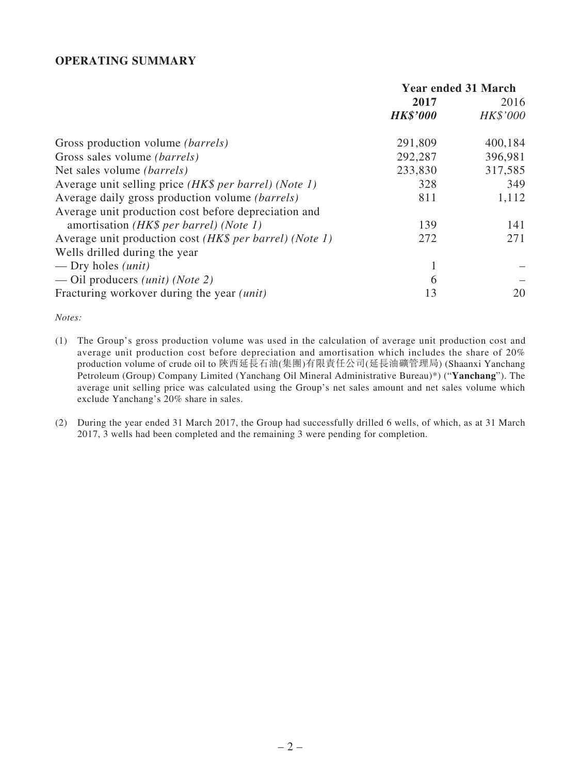### **OPERATING SUMMARY**

|                                                              | <b>Year ended 31 March</b> |          |
|--------------------------------------------------------------|----------------------------|----------|
|                                                              | 2017                       | 2016     |
|                                                              | <b>HK\$'000</b>            | HK\$'000 |
| Gross production volume <i>(barrels)</i>                     | 291,809                    | 400,184  |
| Gross sales volume <i>(barrels)</i>                          | 292,287                    | 396,981  |
| Net sales volume <i>(barrels)</i>                            | 233,830                    | 317,585  |
| Average unit selling price <i>(HK\$ per barrel) (Note 1)</i> | 328                        | 349      |
| Average daily gross production volume (barrels)              | 811                        | 1,112    |
| Average unit production cost before depreciation and         |                            |          |
| amortisation (HK\$ per barrel) (Note 1)                      | 139                        | 141      |
| Average unit production cost (HK\$ per barrel) (Note 1)      | 272                        | 271      |
| Wells drilled during the year                                |                            |          |
| — Dry holes $(unit)$                                         |                            |          |
| — Oil producers <i>(unit) (Note 2)</i>                       | 6                          |          |
| Fracturing workover during the year <i>(unit)</i>            | 13                         | 20       |

*Notes:*

- (1) The Group's gross production volume was used in the calculation of average unit production cost and average unit production cost before depreciation and amortisation which includes the share of 20% production volume of crude oil to 陝西延長石油(集團)有限責任公司(延長油礦管理局) (Shaanxi Yanchang Petroleum (Group) Company Limited (Yanchang Oil Mineral Administrative Bureau)\*) ("**Yanchang**"). The average unit selling price was calculated using the Group's net sales amount and net sales volume which exclude Yanchang's 20% share in sales.
- (2) During the year ended 31 March 2017, the Group had successfully drilled 6 wells, of which, as at 31 March 2017, 3 wells had been completed and the remaining 3 were pending for completion.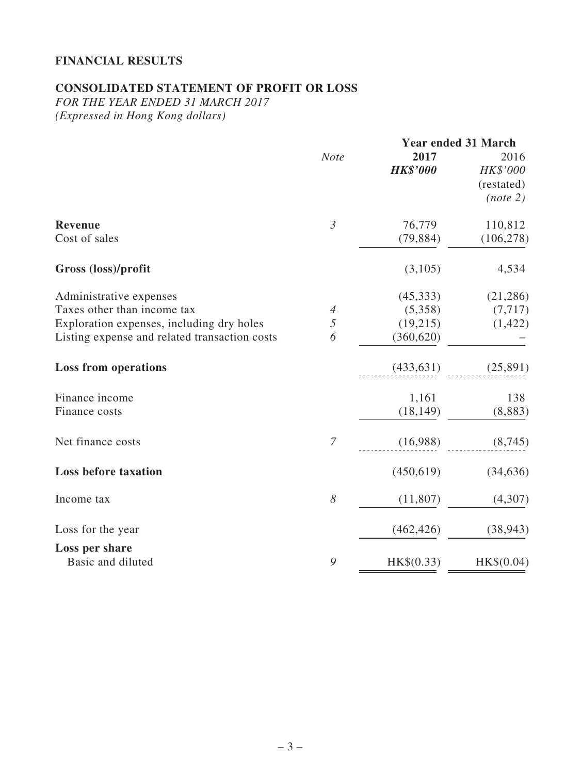# **FINANCIAL RESULTS**

# **CONSOLIDATED STATEMENT OF PROFIT OR LOSS**

*FOR THE YEAR ENDED 31 MARCH 2017 (Expressed in Hong Kong dollars)*

| <b>Year ended 31 March</b> |                 |            |
|----------------------------|-----------------|------------|
| <b>Note</b>                | 2017            | 2016       |
|                            | <b>HK\$'000</b> | HK\$'000   |
|                            |                 | (restated) |
|                            |                 | (note 2)   |
| $\mathfrak{Z}$             | 76,779          | 110,812    |
|                            | (79, 884)       | (106, 278) |
|                            | (3,105)         | 4,534      |
|                            | (45,333)        | (21, 286)  |
| $\overline{4}$             | (5,358)         | (7, 717)   |
| 5                          | (19,215)        | (1, 422)   |
| 6                          | (360, 620)      |            |
|                            | (433, 631)      | (25,891)   |
|                            |                 | 138        |
|                            | (18, 149)       | (8,883)    |
| $\overline{7}$             | (16,988)        | (8,745)    |
|                            | (450, 619)      | (34, 636)  |
| $\boldsymbol{\delta}$      | (11,807)        | (4,307)    |
|                            | (462, 426)      | (38, 943)  |
|                            |                 |            |
| 9                          | HK\$(0.33)      | HK\$(0.04) |
|                            |                 | 1,161      |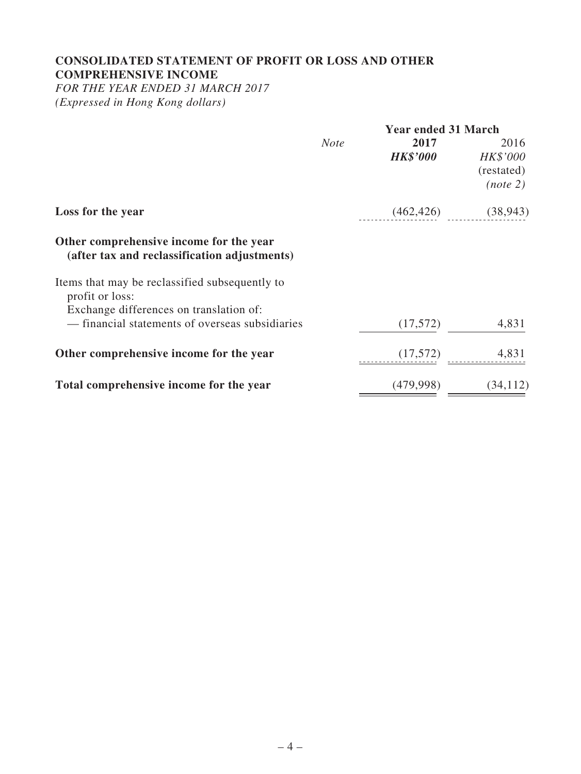# **CONSOLIDATED STATEMENT OF PROFIT OR LOSS AND OTHER COMPREHENSIVE INCOME**

*FOR THE YEAR ENDED 31 MARCH 2017 (Expressed in Hong Kong dollars)*

|                                                                                            | <b>Year ended 31 March</b> |                         |                                            |
|--------------------------------------------------------------------------------------------|----------------------------|-------------------------|--------------------------------------------|
|                                                                                            | <b>Note</b>                | 2017<br><b>HK\$'000</b> | 2016<br>HK\$'000<br>(restated)<br>(note 2) |
| Loss for the year                                                                          |                            | (462, 426)              | (38, 943)                                  |
| Other comprehensive income for the year<br>(after tax and reclassification adjustments)    |                            |                         |                                            |
| Items that may be reclassified subsequently to<br>profit or loss:                          |                            |                         |                                            |
| Exchange differences on translation of:<br>- financial statements of overseas subsidiaries |                            | (17,572)                | 4,831                                      |
| Other comprehensive income for the year                                                    |                            | (17,572)                | 4,831                                      |
| Total comprehensive income for the year                                                    |                            | (479, 998)              | (34, 112)                                  |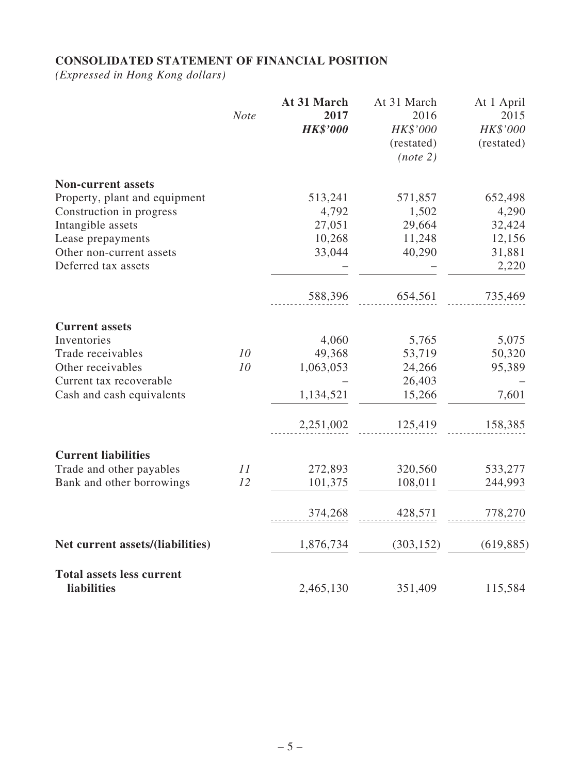# **CONSOLIDATED STATEMENT OF FINANCIAL POSITION**

*(Expressed in Hong Kong dollars)*

|                                                        | <b>Note</b> | At 31 March<br>2017<br><b>HK\$'000</b> | At 31 March<br>2016<br>HK\$'000<br>(restated)<br>(note 2) | At 1 April<br>2015<br>HK\$'000<br>(restated) |
|--------------------------------------------------------|-------------|----------------------------------------|-----------------------------------------------------------|----------------------------------------------|
| <b>Non-current assets</b>                              |             |                                        |                                                           |                                              |
| Property, plant and equipment                          |             | 513,241                                | 571,857                                                   | 652,498                                      |
| Construction in progress                               |             | 4,792                                  | 1,502                                                     | 4,290                                        |
| Intangible assets                                      |             | 27,051                                 | 29,664                                                    | 32,424                                       |
| Lease prepayments                                      |             | 10,268                                 | 11,248                                                    | 12,156                                       |
| Other non-current assets                               |             | 33,044                                 | 40,290                                                    | 31,881                                       |
| Deferred tax assets                                    |             |                                        |                                                           | 2,220                                        |
|                                                        |             | 588,396                                | 654,561                                                   | 735,469                                      |
| <b>Current assets</b>                                  |             |                                        |                                                           |                                              |
| Inventories                                            |             | 4,060                                  | 5,765                                                     | 5,075                                        |
| Trade receivables                                      | 10          | 49,368                                 | 53,719                                                    | 50,320                                       |
| Other receivables                                      | 10          | 1,063,053                              | 24,266                                                    | 95,389                                       |
| Current tax recoverable                                |             |                                        | 26,403                                                    |                                              |
| Cash and cash equivalents                              |             | 1,134,521                              | 15,266                                                    | 7,601                                        |
|                                                        |             | 2,251,002                              | 125,419                                                   | 158,385                                      |
| <b>Current liabilities</b>                             |             |                                        |                                                           |                                              |
| Trade and other payables                               | 11          | 272,893                                | 320,560                                                   | 533,277                                      |
| Bank and other borrowings                              | 12          | 101,375                                | 108,011                                                   | 244,993                                      |
|                                                        |             | 374,268                                | 428,571                                                   | 778,270                                      |
| Net current assets/(liabilities)                       |             | 1,876,734                              | (303, 152)                                                | (619, 885)                                   |
| <b>Total assets less current</b><br><b>liabilities</b> |             | 2,465,130                              | 351,409                                                   | 115,584                                      |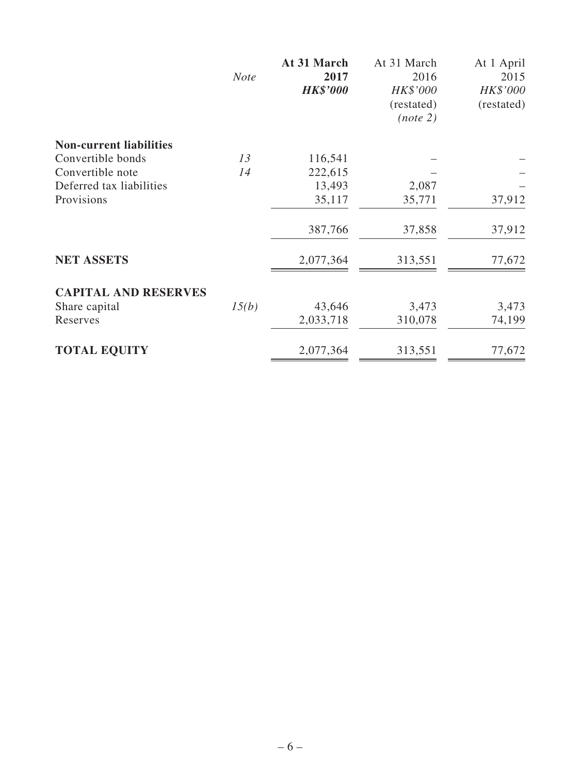|                                | <b>Note</b> | At 31 March<br>2017<br><b>HK\$'000</b> | At 31 March<br>2016<br>HK\$'000<br>(restated)<br>(note 2) | At 1 April<br>2015<br>HK\$'000<br>(restated) |
|--------------------------------|-------------|----------------------------------------|-----------------------------------------------------------|----------------------------------------------|
| <b>Non-current liabilities</b> |             |                                        |                                                           |                                              |
| Convertible bonds              | 13          | 116,541                                |                                                           |                                              |
| Convertible note               | 14          | 222,615                                |                                                           |                                              |
| Deferred tax liabilities       |             | 13,493                                 | 2,087                                                     |                                              |
| Provisions                     |             | 35,117                                 | 35,771                                                    | 37,912                                       |
|                                |             | 387,766                                | 37,858                                                    | 37,912                                       |
| <b>NET ASSETS</b>              |             | 2,077,364                              | 313,551                                                   | 77,672                                       |
| <b>CAPITAL AND RESERVES</b>    |             |                                        |                                                           |                                              |
| Share capital                  | 15(b)       | 43,646                                 | 3,473                                                     | 3,473                                        |
| Reserves                       |             | 2,033,718                              | 310,078                                                   | 74,199                                       |
| <b>TOTAL EQUITY</b>            |             | 2,077,364                              | 313,551                                                   | 77,672                                       |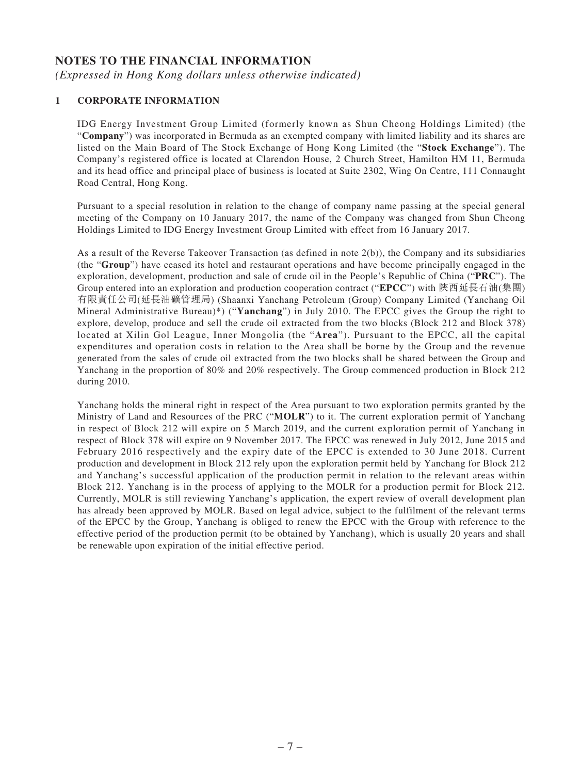### **NOTES TO THE FINANCIAL INFORMATION**

*(Expressed in Hong Kong dollars unless otherwise indicated)*

#### **1 CORPORATE INFORMATION**

IDG Energy Investment Group Limited (formerly known as Shun Cheong Holdings Limited) (the "**Company**") was incorporated in Bermuda as an exempted company with limited liability and its shares are listed on the Main Board of The Stock Exchange of Hong Kong Limited (the "**Stock Exchange**"). The Company's registered office is located at Clarendon House, 2 Church Street, Hamilton HM 11, Bermuda and its head office and principal place of business is located at Suite 2302, Wing On Centre, 111 Connaught Road Central, Hong Kong.

Pursuant to a special resolution in relation to the change of company name passing at the special general meeting of the Company on 10 January 2017, the name of the Company was changed from Shun Cheong Holdings Limited to IDG Energy Investment Group Limited with effect from 16 January 2017.

As a result of the Reverse Takeover Transaction (as defined in note 2(b)), the Company and its subsidiaries (the "**Group**") have ceased its hotel and restaurant operations and have become principally engaged in the exploration, development, production and sale of crude oil in the People's Republic of China ("**PRC**"). The Group entered into an exploration and production cooperation contract ("**EPCC**") with 陝西延長石油(集團) 有限責任公司(延長油礦管理局) (Shaanxi Yanchang Petroleum (Group) Company Limited (Yanchang Oil Mineral Administrative Bureau)\*) ("**Yanchang**") in July 2010. The EPCC gives the Group the right to explore, develop, produce and sell the crude oil extracted from the two blocks (Block 212 and Block 378) located at Xilin Gol League, Inner Mongolia (the "**Area**"). Pursuant to the EPCC, all the capital expenditures and operation costs in relation to the Area shall be borne by the Group and the revenue generated from the sales of crude oil extracted from the two blocks shall be shared between the Group and Yanchang in the proportion of 80% and 20% respectively. The Group commenced production in Block 212 during 2010.

Yanchang holds the mineral right in respect of the Area pursuant to two exploration permits granted by the Ministry of Land and Resources of the PRC ("**MOLR**") to it. The current exploration permit of Yanchang in respect of Block 212 will expire on 5 March 2019, and the current exploration permit of Yanchang in respect of Block 378 will expire on 9 November 2017. The EPCC was renewed in July 2012, June 2015 and February 2016 respectively and the expiry date of the EPCC is extended to 30 June 2018. Current production and development in Block 212 rely upon the exploration permit held by Yanchang for Block 212 and Yanchang's successful application of the production permit in relation to the relevant areas within Block 212. Yanchang is in the process of applying to the MOLR for a production permit for Block 212. Currently, MOLR is still reviewing Yanchang's application, the expert review of overall development plan has already been approved by MOLR. Based on legal advice, subject to the fulfilment of the relevant terms of the EPCC by the Group, Yanchang is obliged to renew the EPCC with the Group with reference to the effective period of the production permit (to be obtained by Yanchang), which is usually 20 years and shall be renewable upon expiration of the initial effective period.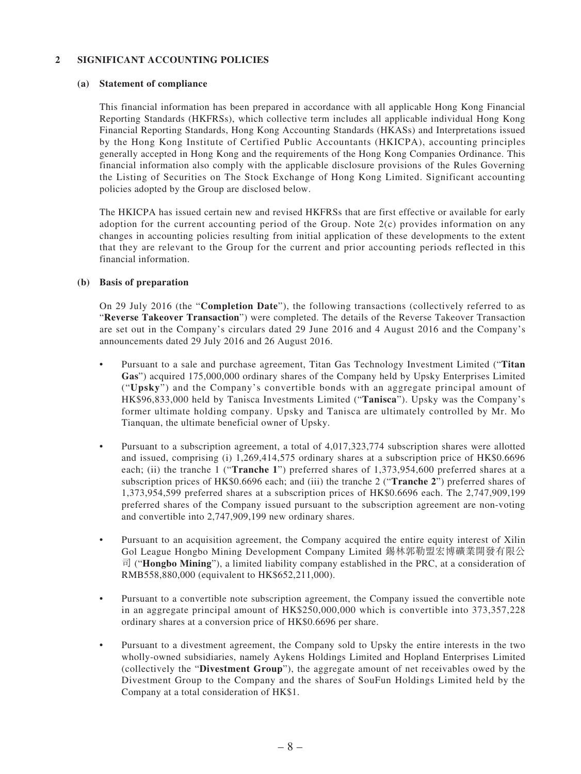#### **2 SIGNIFICANT ACCOUNTING POLICIES**

#### **(a) Statement of compliance**

This financial information has been prepared in accordance with all applicable Hong Kong Financial Reporting Standards (HKFRSs), which collective term includes all applicable individual Hong Kong Financial Reporting Standards, Hong Kong Accounting Standards (HKASs) and Interpretations issued by the Hong Kong Institute of Certified Public Accountants (HKICPA), accounting principles generally accepted in Hong Kong and the requirements of the Hong Kong Companies Ordinance. This financial information also comply with the applicable disclosure provisions of the Rules Governing the Listing of Securities on The Stock Exchange of Hong Kong Limited. Significant accounting policies adopted by the Group are disclosed below.

The HKICPA has issued certain new and revised HKFRSs that are first effective or available for early adoption for the current accounting period of the Group. Note 2(c) provides information on any changes in accounting policies resulting from initial application of these developments to the extent that they are relevant to the Group for the current and prior accounting periods reflected in this financial information.

#### **(b) Basis of preparation**

On 29 July 2016 (the "**Completion Date**"), the following transactions (collectively referred to as "**Reverse Takeover Transaction**") were completed. The details of the Reverse Takeover Transaction are set out in the Company's circulars dated 29 June 2016 and 4 August 2016 and the Company's announcements dated 29 July 2016 and 26 August 2016.

- • Pursuant to a sale and purchase agreement, Titan Gas Technology Investment Limited ("**Titan Gas**") acquired 175,000,000 ordinary shares of the Company held by Upsky Enterprises Limited ("**Upsky**") and the Company's convertible bonds with an aggregate principal amount of HK\$96,833,000 held by Tanisca Investments Limited ("**Tanisca**"). Upsky was the Company's former ultimate holding company. Upsky and Tanisca are ultimately controlled by Mr. Mo Tianquan, the ultimate beneficial owner of Upsky.
- Pursuant to a subscription agreement, a total of 4,017,323,774 subscription shares were allotted and issued, comprising (i) 1,269,414,575 ordinary shares at a subscription price of HK\$0.6696 each; (ii) the tranche 1 ("**Tranche 1**") preferred shares of 1,373,954,600 preferred shares at a subscription prices of HK\$0.6696 each; and (iii) the tranche 2 ("**Tranche 2**") preferred shares of 1,373,954,599 preferred shares at a subscription prices of HK\$0.6696 each. The 2,747,909,199 preferred shares of the Company issued pursuant to the subscription agreement are non-voting and convertible into 2,747,909,199 new ordinary shares.
- Pursuant to an acquisition agreement, the Company acquired the entire equity interest of Xilin Gol League Hongbo Mining Development Company Limited 錫林郭勒盟宏博礦業開發有限公 司 ("**Hongbo Mining**"), a limited liability company established in the PRC, at a consideration of RMB558,880,000 (equivalent to HK\$652,211,000).
- Pursuant to a convertible note subscription agreement, the Company issued the convertible note in an aggregate principal amount of HK\$250,000,000 which is convertible into 373,357,228 ordinary shares at a conversion price of HK\$0.6696 per share.
- Pursuant to a divestment agreement, the Company sold to Upsky the entire interests in the two wholly-owned subsidiaries, namely Aykens Holdings Limited and Hopland Enterprises Limited (collectively the "**Divestment Group**"), the aggregate amount of net receivables owed by the Divestment Group to the Company and the shares of SouFun Holdings Limited held by the Company at a total consideration of HK\$1.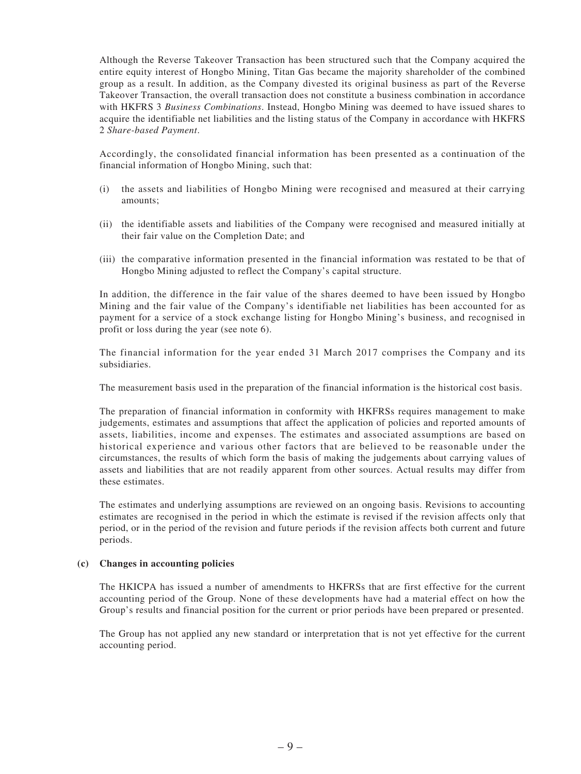Although the Reverse Takeover Transaction has been structured such that the Company acquired the entire equity interest of Hongbo Mining, Titan Gas became the majority shareholder of the combined group as a result. In addition, as the Company divested its original business as part of the Reverse Takeover Transaction, the overall transaction does not constitute a business combination in accordance with HKFRS 3 *Business Combinations*. Instead, Hongbo Mining was deemed to have issued shares to acquire the identifiable net liabilities and the listing status of the Company in accordance with HKFRS 2 *Share-based Payment*.

Accordingly, the consolidated financial information has been presented as a continuation of the financial information of Hongbo Mining, such that:

- (i) the assets and liabilities of Hongbo Mining were recognised and measured at their carrying amounts;
- (ii) the identifiable assets and liabilities of the Company were recognised and measured initially at their fair value on the Completion Date; and
- (iii) the comparative information presented in the financial information was restated to be that of Hongbo Mining adjusted to reflect the Company's capital structure.

In addition, the difference in the fair value of the shares deemed to have been issued by Hongbo Mining and the fair value of the Company's identifiable net liabilities has been accounted for as payment for a service of a stock exchange listing for Hongbo Mining's business, and recognised in profit or loss during the year (see note 6).

The financial information for the year ended 31 March 2017 comprises the Company and its subsidiaries.

The measurement basis used in the preparation of the financial information is the historical cost basis.

The preparation of financial information in conformity with HKFRSs requires management to make judgements, estimates and assumptions that affect the application of policies and reported amounts of assets, liabilities, income and expenses. The estimates and associated assumptions are based on historical experience and various other factors that are believed to be reasonable under the circumstances, the results of which form the basis of making the judgements about carrying values of assets and liabilities that are not readily apparent from other sources. Actual results may differ from these estimates.

The estimates and underlying assumptions are reviewed on an ongoing basis. Revisions to accounting estimates are recognised in the period in which the estimate is revised if the revision affects only that period, or in the period of the revision and future periods if the revision affects both current and future periods.

#### **(c) Changes in accounting policies**

The HKICPA has issued a number of amendments to HKFRSs that are first effective for the current accounting period of the Group. None of these developments have had a material effect on how the Group's results and financial position for the current or prior periods have been prepared or presented.

The Group has not applied any new standard or interpretation that is not yet effective for the current accounting period.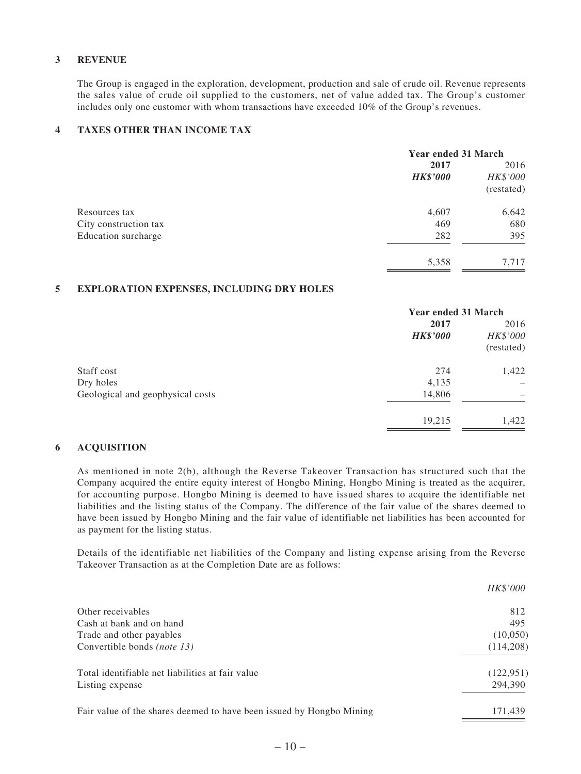#### **3 REVENUE**

The Group is engaged in the exploration, development, production and sale of crude oil. Revenue represents the sales value of crude oil supplied to the customers, net of value added tax. The Group's customer includes only one customer with whom transactions have exceeded 10% of the Group's revenues.

#### **4 TAXES OTHER THAN INCOME TAX**

|                       | <b>Year ended 31 March</b> |            |
|-----------------------|----------------------------|------------|
|                       | 2017                       | 2016       |
|                       | <b>HK\$'000</b>            | HK\$'000   |
|                       |                            | (restated) |
| Resources tax         | 4,607                      | 6,642      |
| City construction tax | 469                        | 680        |
| Education surcharge   | 282                        | 395        |
|                       | 5,358                      | 7,717      |

#### **5 EXPLORATION EXPENSES, INCLUDING DRY HOLES**

| <b>Year ended 31 March</b> |            |  |  |
|----------------------------|------------|--|--|
| 2017<br><b>HK\$'000</b>    | 2016       |  |  |
|                            |            |  |  |
|                            | (restated) |  |  |
| 274                        | 1,422      |  |  |
| 4,135                      |            |  |  |
| 14,806                     |            |  |  |
| 19,215                     | 1,422      |  |  |
|                            |            |  |  |

#### **6 ACQUISITION**

As mentioned in note 2(b), although the Reverse Takeover Transaction has structured such that the Company acquired the entire equity interest of Hongbo Mining, Hongbo Mining is treated as the acquirer, for accounting purpose. Hongbo Mining is deemed to have issued shares to acquire the identifiable net liabilities and the listing status of the Company. The difference of the fair value of the shares deemed to have been issued by Hongbo Mining and the fair value of identifiable net liabilities has been accounted for as payment for the listing status.

Details of the identifiable net liabilities of the Company and listing expense arising from the Reverse Takeover Transaction as at the Completion Date are as follows:

|                                                                      | <i>HK\$'000</i> |
|----------------------------------------------------------------------|-----------------|
| Other receivables                                                    | 812             |
| Cash at bank and on hand                                             | 495             |
| Trade and other payables                                             | (10,050)        |
| Convertible bonds <i>(note 13)</i>                                   | (114,208)       |
| Total identifiable net liabilities at fair value                     | (122, 951)      |
| Listing expense                                                      | 294,390         |
| Fair value of the shares deemed to have been issued by Hongbo Mining | 171.439         |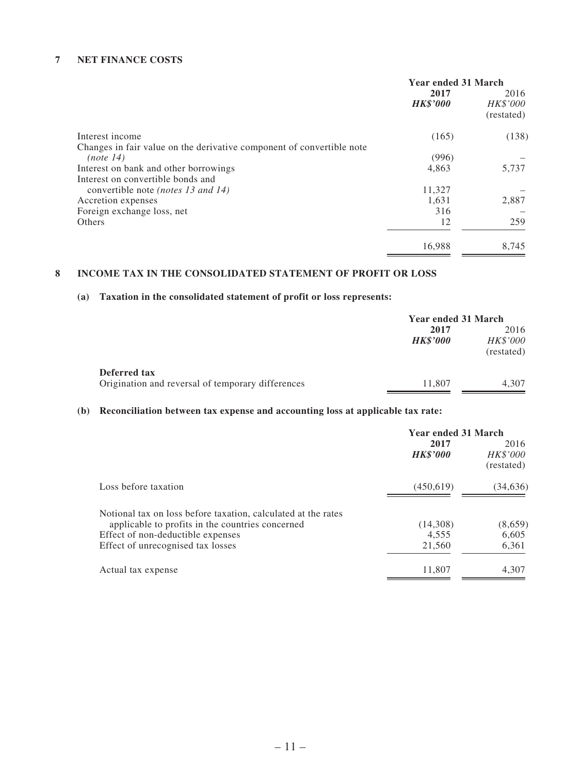#### **7 NET FINANCE COSTS**

|                                                                       | <b>Year ended 31 March</b> |                                |
|-----------------------------------------------------------------------|----------------------------|--------------------------------|
|                                                                       | 2017<br><b>HK\$'000</b>    | 2016<br>HK\$'000<br>(restated) |
| Interest income                                                       | (165)                      | (138)                          |
| Changes in fair value on the derivative component of convertible note |                            |                                |
| (note 14)                                                             | (996)                      |                                |
| Interest on bank and other borrowings                                 | 4,863                      | 5,737                          |
| Interest on convertible bonds and                                     |                            |                                |
| convertible note (notes 13 and 14)                                    | 11,327                     |                                |
| Accretion expenses                                                    | 1,631                      | 2,887                          |
| Foreign exchange loss, net                                            | 316                        |                                |
| Others                                                                | 12                         | 259                            |
|                                                                       | 16,988                     | 8,745                          |

### **8 INCOME TAX IN THE CONSOLIDATED STATEMENT OF PROFIT OR LOSS**

#### **(a) Taxation in the consolidated statement of profit or loss represents:**

|                                                                   | <b>Year ended 31 March</b> |                                       |
|-------------------------------------------------------------------|----------------------------|---------------------------------------|
|                                                                   | 2017<br><b>HK\$'000</b>    | 2016<br><i>HK\$'000</i><br>(restated) |
| Deferred tax<br>Origination and reversal of temporary differences | 11.807                     | 4,307                                 |

### **(b) Reconciliation between tax expense and accounting loss at applicable tax rate:**

|                                                               | <b>Year ended 31 March</b> |                                |
|---------------------------------------------------------------|----------------------------|--------------------------------|
|                                                               | 2017<br><b>HK\$'000</b>    | 2016<br>HK\$'000<br>(restated) |
| Loss before taxation                                          | (450,619)                  | (34, 636)                      |
| Notional tax on loss before taxation, calculated at the rates |                            |                                |
| applicable to profits in the countries concerned              | (14,308)                   | (8,659)                        |
| Effect of non-deductible expenses                             | 4.555                      | 6,605                          |
| Effect of unrecognised tax losses                             | 21,560                     | 6,361                          |
| Actual tax expense                                            | 11,807                     | 4,307                          |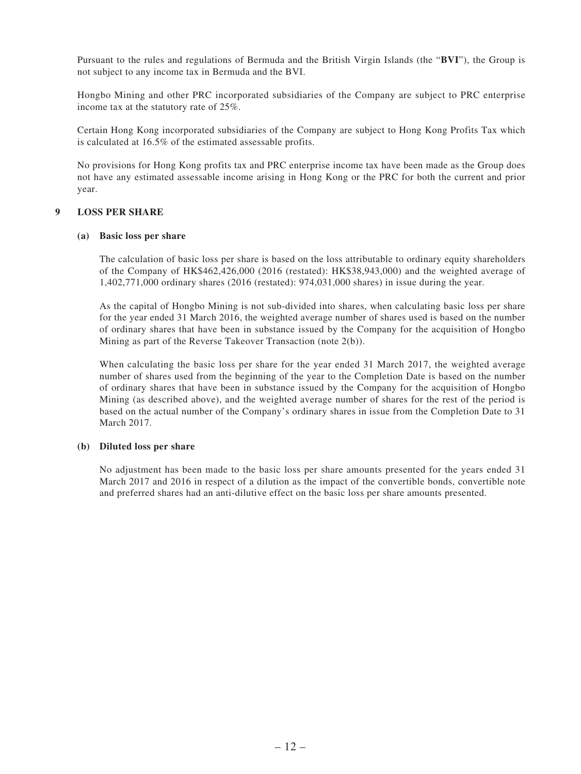Pursuant to the rules and regulations of Bermuda and the British Virgin Islands (the "**BVI**"), the Group is not subject to any income tax in Bermuda and the BVI.

Hongbo Mining and other PRC incorporated subsidiaries of the Company are subject to PRC enterprise income tax at the statutory rate of 25%.

Certain Hong Kong incorporated subsidiaries of the Company are subject to Hong Kong Profits Tax which is calculated at 16.5% of the estimated assessable profits.

No provisions for Hong Kong profits tax and PRC enterprise income tax have been made as the Group does not have any estimated assessable income arising in Hong Kong or the PRC for both the current and prior year.

#### **9 LOSS PER SHARE**

#### **(a) Basic loss per share**

The calculation of basic loss per share is based on the loss attributable to ordinary equity shareholders of the Company of HK\$462,426,000 (2016 (restated): HK\$38,943,000) and the weighted average of 1,402,771,000 ordinary shares (2016 (restated): 974,031,000 shares) in issue during the year.

As the capital of Hongbo Mining is not sub-divided into shares, when calculating basic loss per share for the year ended 31 March 2016, the weighted average number of shares used is based on the number of ordinary shares that have been in substance issued by the Company for the acquisition of Hongbo Mining as part of the Reverse Takeover Transaction (note 2(b)).

When calculating the basic loss per share for the year ended 31 March 2017, the weighted average number of shares used from the beginning of the year to the Completion Date is based on the number of ordinary shares that have been in substance issued by the Company for the acquisition of Hongbo Mining (as described above), and the weighted average number of shares for the rest of the period is based on the actual number of the Company's ordinary shares in issue from the Completion Date to 31 March 2017.

#### **(b) Diluted loss per share**

No adjustment has been made to the basic loss per share amounts presented for the years ended 31 March 2017 and 2016 in respect of a dilution as the impact of the convertible bonds, convertible note and preferred shares had an anti-dilutive effect on the basic loss per share amounts presented.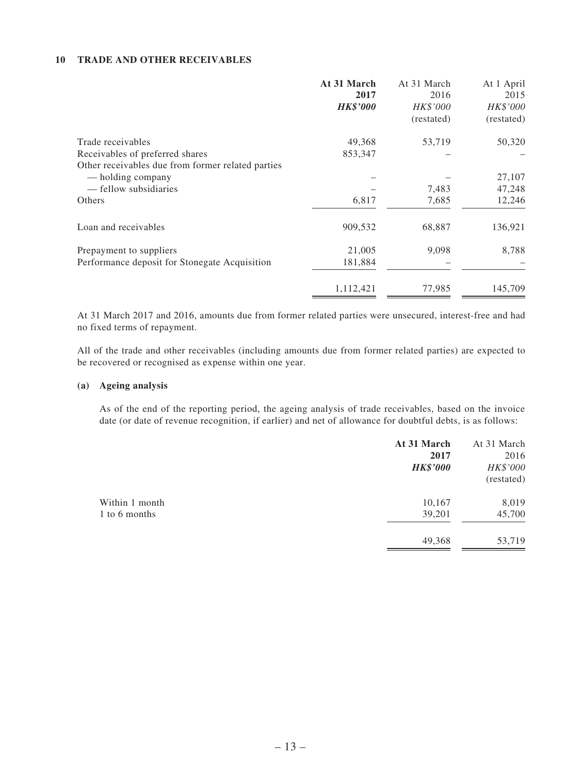#### **10 TRADE AND OTHER RECEIVABLES**

|                                                   | At 31 March<br>2017<br><b>HK\$'000</b> | At 31 March<br>2016<br>HK\$'000<br>(restated) | At 1 April<br>2015<br>HK\$'000<br>(restated) |
|---------------------------------------------------|----------------------------------------|-----------------------------------------------|----------------------------------------------|
| Trade receivables                                 | 49,368                                 | 53,719                                        | 50,320                                       |
| Receivables of preferred shares                   | 853,347                                |                                               |                                              |
| Other receivables due from former related parties |                                        |                                               |                                              |
| — holding company                                 |                                        |                                               | 27,107                                       |
| — fellow subsidiaries                             |                                        | 7,483                                         | 47,248                                       |
| Others                                            | 6,817                                  | 7,685                                         | 12,246                                       |
| Loan and receivables                              | 909,532                                | 68,887                                        | 136,921                                      |
| Prepayment to suppliers                           | 21,005                                 | 9,098                                         | 8,788                                        |
| Performance deposit for Stonegate Acquisition     | 181,884                                |                                               |                                              |
|                                                   | 1,112,421                              | 77,985                                        | 145,709                                      |

At 31 March 2017 and 2016, amounts due from former related parties were unsecured, interest-free and had no fixed terms of repayment.

All of the trade and other receivables (including amounts due from former related parties) are expected to be recovered or recognised as expense within one year.

#### **(a) Ageing analysis**

As of the end of the reporting period, the ageing analysis of trade receivables, based on the invoice date (or date of revenue recognition, if earlier) and net of allowance for doubtful debts, is as follows:

|                                 | At 31 March<br>2017<br><b>HK\$'000</b> | At 31 March<br>2016<br>HK\$'000<br>(restated) |
|---------------------------------|----------------------------------------|-----------------------------------------------|
| Within 1 month<br>1 to 6 months | 10,167<br>39,201                       | 8,019<br>45,700                               |
|                                 | 49,368                                 | 53,719                                        |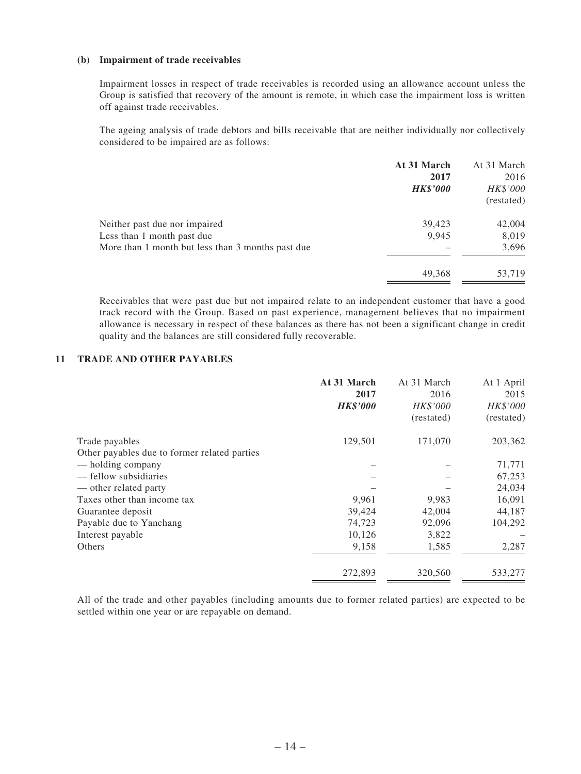#### **(b) Impairment of trade receivables**

Impairment losses in respect of trade receivables is recorded using an allowance account unless the Group is satisfied that recovery of the amount is remote, in which case the impairment loss is written off against trade receivables.

The ageing analysis of trade debtors and bills receivable that are neither individually nor collectively considered to be impaired are as follows:

|                                                   | At 31 March<br>2017<br><b>HK\$'000</b> | At 31 March<br>2016<br>HK\$'000<br>(restated) |
|---------------------------------------------------|----------------------------------------|-----------------------------------------------|
| Neither past due nor impaired                     | 39,423                                 | 42,004                                        |
| Less than 1 month past due                        | 9,945                                  | 8,019                                         |
| More than 1 month but less than 3 months past due |                                        | 3,696                                         |
|                                                   | 49,368                                 | 53,719                                        |

Receivables that were past due but not impaired relate to an independent customer that have a good track record with the Group. Based on past experience, management believes that no impairment allowance is necessary in respect of these balances as there has not been a significant change in credit quality and the balances are still considered fully recoverable.

#### **11 TRADE AND OTHER PAYABLES**

|                                              | At 31 March<br>2017<br><b>HK\$'000</b> | At 31 March<br>2016<br>HK\$'000<br>(restated) | At 1 April<br>2015<br>HK\$'000<br>(restated) |
|----------------------------------------------|----------------------------------------|-----------------------------------------------|----------------------------------------------|
| Trade payables                               | 129,501                                | 171,070                                       | 203,362                                      |
| Other payables due to former related parties |                                        |                                               |                                              |
| — holding company                            |                                        |                                               | 71,771                                       |
| — fellow subsidiaries                        |                                        |                                               | 67,253                                       |
| — other related party                        |                                        |                                               | 24,034                                       |
| Taxes other than income tax                  | 9,961                                  | 9,983                                         | 16,091                                       |
| Guarantee deposit                            | 39,424                                 | 42,004                                        | 44,187                                       |
| Payable due to Yanchang                      | 74,723                                 | 92,096                                        | 104,292                                      |
| Interest payable                             | 10,126                                 | 3,822                                         |                                              |
| Others                                       | 9,158                                  | 1,585                                         | 2,287                                        |
|                                              | 272,893                                | 320,560                                       | 533,277                                      |

All of the trade and other payables (including amounts due to former related parties) are expected to be settled within one year or are repayable on demand.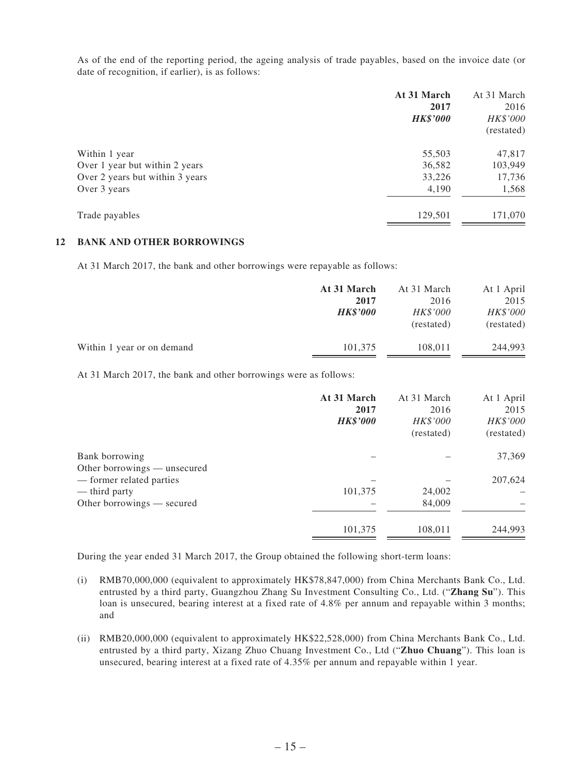As of the end of the reporting period, the ageing analysis of trade payables, based on the invoice date (or date of recognition, if earlier), is as follows:

|                                 | At 31 March<br>2017<br><b>HK\$'000</b> | At 31 March<br>2016<br>HK\$'000<br>(restated) |
|---------------------------------|----------------------------------------|-----------------------------------------------|
| Within 1 year                   | 55,503                                 | 47,817                                        |
| Over 1 year but within 2 years  | 36,582                                 | 103,949                                       |
| Over 2 years but within 3 years | 33,226                                 | 17,736                                        |
| Over 3 years                    | 4,190                                  | 1,568                                         |
| Trade payables                  | 129,501                                | 171,070                                       |

#### **12 BANK AND OTHER BORROWINGS**

At 31 March 2017, the bank and other borrowings were repayable as follows:

|                            | At 31 March     | At 31 March     | At 1 April |
|----------------------------|-----------------|-----------------|------------|
|                            | 2017            | 2016            | 2015       |
|                            | <b>HK\$'000</b> | <i>HK\$'000</i> | HK\$'000   |
|                            |                 | (restated)      | (restated) |
| Within 1 year or on demand | 101,375         | 108,011         | 244,993    |
|                            |                 |                 |            |

At 31 March 2017, the bank and other borrowings were as follows:

|                                                          | At 31 March<br>2017<br><b>HK\$'000</b> | At 31 March<br>2016<br>HK\$'000<br>(restated) | At 1 April<br>2015<br>HK\$'000<br>(restated) |
|----------------------------------------------------------|----------------------------------------|-----------------------------------------------|----------------------------------------------|
| Bank borrowing                                           |                                        |                                               | 37,369                                       |
| Other borrowings — unsecured<br>— former related parties |                                        |                                               | 207,624                                      |
| — third party                                            | 101,375                                | 24,002                                        |                                              |
| Other borrowings — secured                               |                                        | 84,009                                        |                                              |
|                                                          | 101,375                                | 108,011                                       | 244,993                                      |

During the year ended 31 March 2017, the Group obtained the following short-term loans:

- (i) RMB70,000,000 (equivalent to approximately HK\$78,847,000) from China Merchants Bank Co., Ltd. entrusted by a third party, Guangzhou Zhang Su Investment Consulting Co., Ltd. ("**Zhang Su**"). This loan is unsecured, bearing interest at a fixed rate of 4.8% per annum and repayable within 3 months; and
- (ii) RMB20,000,000 (equivalent to approximately HK\$22,528,000) from China Merchants Bank Co., Ltd. entrusted by a third party, Xizang Zhuo Chuang Investment Co., Ltd ("**Zhuo Chuang**"). This loan is unsecured, bearing interest at a fixed rate of 4.35% per annum and repayable within 1 year.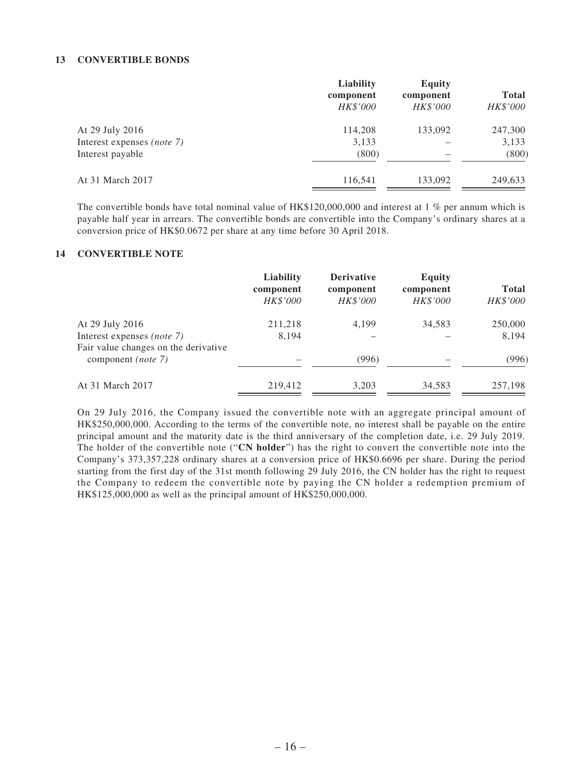#### **13 CONVERTIBLE BONDS**

|         | component                    | <b>Total</b> |
|---------|------------------------------|--------------|
|         | <b>HK\$'000</b>              | HK\$'000     |
| 114,208 | 133,092                      | 247,300      |
| 3,133   |                              | 3,133        |
| (800)   |                              | (800)        |
| 116,541 | 133,092                      | 249,633      |
|         | component<br><b>HK\$'000</b> |              |

The convertible bonds have total nominal value of HK\$120,000,000 and interest at 1 % per annum which is payable half year in arrears. The convertible bonds are convertible into the Company's ordinary shares at a conversion price of HK\$0.0672 per share at any time before 30 April 2018.

#### **14 CONVERTIBLE NOTE**

|                                                                                       | Liability<br>component<br>HK\$'000 | <b>Derivative</b><br>component<br>HK\$'000 | <b>Equity</b><br>component<br>HK\$'000 | <b>Total</b><br>HK\$'000 |
|---------------------------------------------------------------------------------------|------------------------------------|--------------------------------------------|----------------------------------------|--------------------------|
| At 29 July 2016<br>Interest expenses (note 7)<br>Fair value changes on the derivative | 211,218<br>8.194                   | 4,199                                      | 34,583                                 | 250,000<br>8,194         |
| component ( <i>note</i> 7)                                                            |                                    | (996)                                      |                                        | (996)                    |
| At 31 March 2017                                                                      | 219,412                            | 3,203                                      | 34,583                                 | 257,198                  |

On 29 July 2016, the Company issued the convertible note with an aggregate principal amount of HK\$250,000,000. According to the terms of the convertible note, no interest shall be payable on the entire principal amount and the maturity date is the third anniversary of the completion date, i.e. 29 July 2019. The holder of the convertible note ("**CN holder**") has the right to convert the convertible note into the Company's 373,357,228 ordinary shares at a conversion price of HK\$0.6696 per share. During the period starting from the first day of the 31st month following 29 July 2016, the CN holder has the right to request the Company to redeem the convertible note by paying the CN holder a redemption premium of HK\$125,000,000 as well as the principal amount of HK\$250,000,000.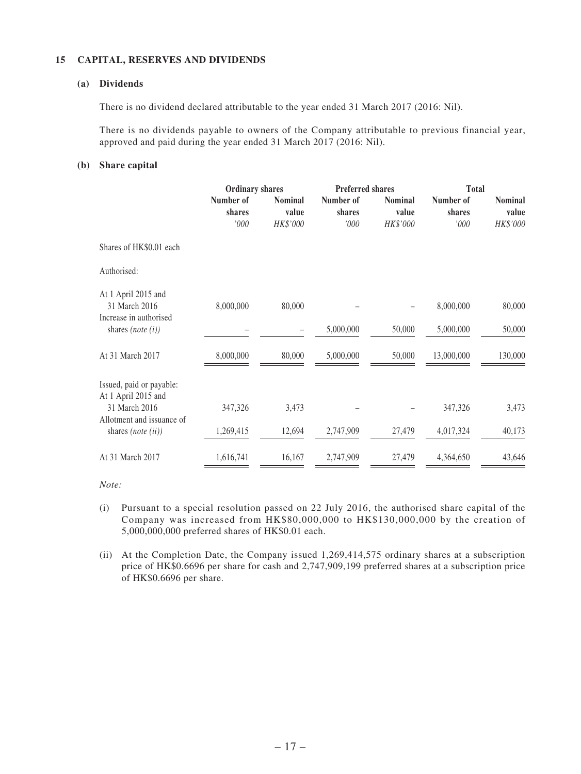#### **15 CAPITAL, RESERVES AND DIVIDENDS**

#### **(a) Dividends**

There is no dividend declared attributable to the year ended 31 March 2017 (2016: Nil).

There is no dividends payable to owners of the Company attributable to previous financial year, approved and paid during the year ended 31 March 2017 (2016: Nil).

#### **(b) Share capital**

|                                                                                                                                | <b>Ordinary shares</b>      |                                     | <b>Preferred shares</b>     |                                     | <b>Total</b>                |                                     |  |
|--------------------------------------------------------------------------------------------------------------------------------|-----------------------------|-------------------------------------|-----------------------------|-------------------------------------|-----------------------------|-------------------------------------|--|
|                                                                                                                                | Number of<br>shares<br>'000 | <b>Nominal</b><br>value<br>HK\$'000 | Number of<br>shares<br>'000 | <b>Nominal</b><br>value<br>HK\$'000 | Number of<br>shares<br>'000 | <b>Nominal</b><br>value<br>HK\$'000 |  |
| Shares of HK\$0.01 each                                                                                                        |                             |                                     |                             |                                     |                             |                                     |  |
| Authorised:                                                                                                                    |                             |                                     |                             |                                     |                             |                                     |  |
| At 1 April 2015 and<br>31 March 2016<br>Increase in authorised<br>shares (note $(i)$ )                                         | 8,000,000                   | 80,000                              | 5,000,000                   | 50,000                              | 8,000,000<br>5,000,000      | 80,000<br>50,000                    |  |
| At 31 March 2017                                                                                                               | 8,000,000                   | 80,000                              | 5,000,000                   | 50,000                              | 13,000,000                  | 130,000                             |  |
| Issued, paid or payable:<br>At 1 April 2015 and<br>31 March 2016<br>Allotment and issuance of<br>shares ( <i>note</i> $(ii)$ ) | 347,326<br>1,269,415        | 3,473<br>12,694                     | 2,747,909                   | 27,479                              | 347,326<br>4,017,324        | 3,473<br>40,173                     |  |
| At 31 March 2017                                                                                                               | 1,616,741                   | 16,167                              | 2,747,909                   | 27,479                              | 4,364,650                   | 43,646                              |  |

*Note:*

- (i) Pursuant to a special resolution passed on 22 July 2016, the authorised share capital of the Company was increased from HK\$80,000,000 to HK\$130,000,000 by the creation of 5,000,000,000 preferred shares of HK\$0.01 each.
- (ii) At the Completion Date, the Company issued 1,269,414,575 ordinary shares at a subscription price of HK\$0.6696 per share for cash and 2,747,909,199 preferred shares at a subscription price of HK\$0.6696 per share.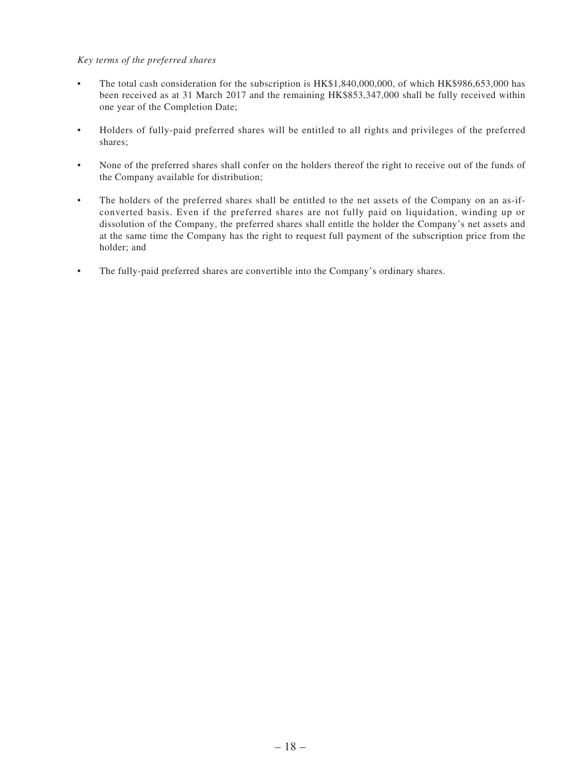#### *Key terms of the preferred shares*

- The total cash consideration for the subscription is HK\$1,840,000,000, of which HK\$986,653,000 has been received as at 31 March 2017 and the remaining HK\$853,347,000 shall be fully received within one year of the Completion Date;
- • Holders of fully-paid preferred shares will be entitled to all rights and privileges of the preferred shares;
- • None of the preferred shares shall confer on the holders thereof the right to receive out of the funds of the Company available for distribution;
- • The holders of the preferred shares shall be entitled to the net assets of the Company on an as-ifconverted basis. Even if the preferred shares are not fully paid on liquidation, winding up or dissolution of the Company, the preferred shares shall entitle the holder the Company's net assets and at the same time the Company has the right to request full payment of the subscription price from the holder; and
- The fully-paid preferred shares are convertible into the Company's ordinary shares.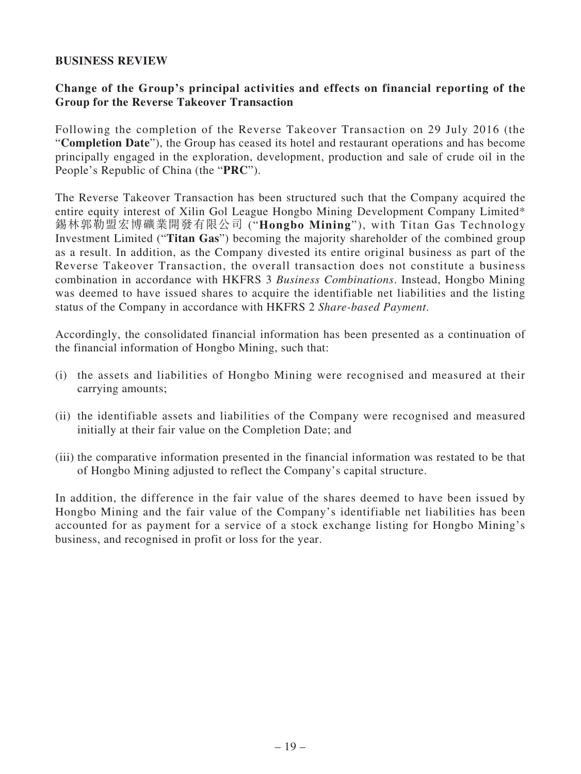### **BUSINESS REVIEW**

# **Change of the Group's principal activities and effects on financial reporting of the Group for the Reverse Takeover Transaction**

Following the completion of the Reverse Takeover Transaction on 29 July 2016 (the "**Completion Date**"), the Group has ceased its hotel and restaurant operations and has become principally engaged in the exploration, development, production and sale of crude oil in the People's Republic of China (the "**PRC**").

The Reverse Takeover Transaction has been structured such that the Company acquired the entire equity interest of Xilin Gol League Hongbo Mining Development Company Limited\* 錫林郭勒盟宏博礦業開發有限公司 ("**Hongbo Mining**"), with Titan Gas Technology Investment Limited ("**Titan Gas**") becoming the majority shareholder of the combined group as a result. In addition, as the Company divested its entire original business as part of the Reverse Takeover Transaction, the overall transaction does not constitute a business combination in accordance with HKFRS 3 *Business Combinations*. Instead, Hongbo Mining was deemed to have issued shares to acquire the identifiable net liabilities and the listing status of the Company in accordance with HKFRS 2 *Share-based Payment*.

Accordingly, the consolidated financial information has been presented as a continuation of the financial information of Hongbo Mining, such that:

- (i) the assets and liabilities of Hongbo Mining were recognised and measured at their carrying amounts;
- (ii) the identifiable assets and liabilities of the Company were recognised and measured initially at their fair value on the Completion Date; and
- (iii) the comparative information presented in the financial information was restated to be that of Hongbo Mining adjusted to reflect the Company's capital structure.

In addition, the difference in the fair value of the shares deemed to have been issued by Hongbo Mining and the fair value of the Company's identifiable net liabilities has been accounted for as payment for a service of a stock exchange listing for Hongbo Mining's business, and recognised in profit or loss for the year.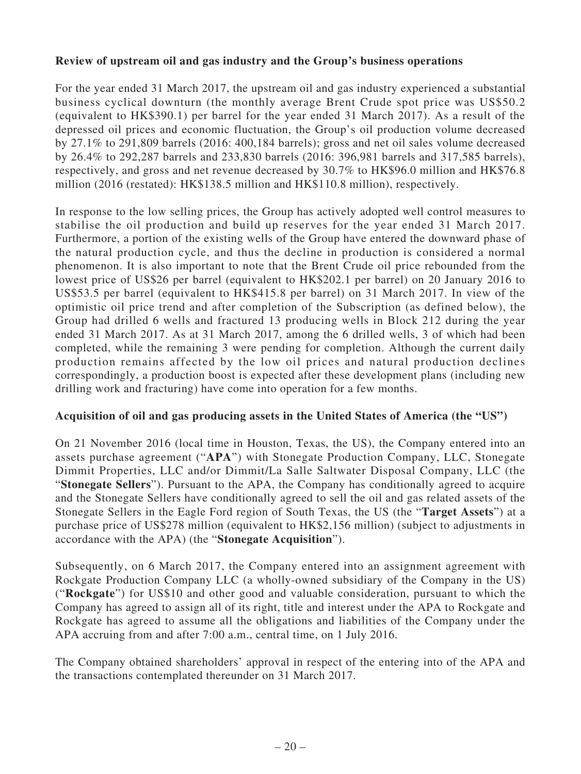# **Review of upstream oil and gas industry and the Group's business operations**

For the year ended 31 March 2017, the upstream oil and gas industry experienced a substantial business cyclical downturn (the monthly average Brent Crude spot price was US\$50.2 (equivalent to HK\$390.1) per barrel for the year ended 31 March 2017). As a result of the depressed oil prices and economic fluctuation, the Group's oil production volume decreased by 27.1% to 291,809 barrels (2016: 400,184 barrels); gross and net oil sales volume decreased by 26.4% to 292,287 barrels and 233,830 barrels (2016: 396,981 barrels and 317,585 barrels), respectively, and gross and net revenue decreased by 30.7% to HK\$96.0 million and HK\$76.8 million (2016 (restated): HK\$138.5 million and HK\$110.8 million), respectively.

In response to the low selling prices, the Group has actively adopted well control measures to stabilise the oil production and build up reserves for the year ended 31 March 2017. Furthermore, a portion of the existing wells of the Group have entered the downward phase of the natural production cycle, and thus the decline in production is considered a normal phenomenon. It is also important to note that the Brent Crude oil price rebounded from the lowest price of US\$26 per barrel (equivalent to HK\$202.1 per barrel) on 20 January 2016 to US\$53.5 per barrel (equivalent to HK\$415.8 per barrel) on 31 March 2017. In view of the optimistic oil price trend and after completion of the Subscription (as defined below), the Group had drilled 6 wells and fractured 13 producing wells in Block 212 during the year ended 31 March 2017. As at 31 March 2017, among the 6 drilled wells, 3 of which had been completed, while the remaining 3 were pending for completion. Although the current daily production remains affected by the low oil prices and natural production declines correspondingly, a production boost is expected after these development plans (including new drilling work and fracturing) have come into operation for a few months.

# **Acquisition of oil and gas producing assets in the United States of America (the "US")**

On 21 November 2016 (local time in Houston, Texas, the US), the Company entered into an assets purchase agreement ("**APA**") with Stonegate Production Company, LLC, Stonegate Dimmit Properties, LLC and/or Dimmit/La Salle Saltwater Disposal Company, LLC (the "**Stonegate Sellers**"). Pursuant to the APA, the Company has conditionally agreed to acquire and the Stonegate Sellers have conditionally agreed to sell the oil and gas related assets of the Stonegate Sellers in the Eagle Ford region of South Texas, the US (the "**Target Assets**") at a purchase price of US\$278 million (equivalent to HK\$2,156 million) (subject to adjustments in accordance with the APA) (the "**Stonegate Acquisition**").

Subsequently, on 6 March 2017, the Company entered into an assignment agreement with Rockgate Production Company LLC (a wholly-owned subsidiary of the Company in the US) ("**Rockgate**") for US\$10 and other good and valuable consideration, pursuant to which the Company has agreed to assign all of its right, title and interest under the APA to Rockgate and Rockgate has agreed to assume all the obligations and liabilities of the Company under the APA accruing from and after 7:00 a.m., central time, on 1 July 2016.

The Company obtained shareholders' approval in respect of the entering into of the APA and the transactions contemplated thereunder on 31 March 2017.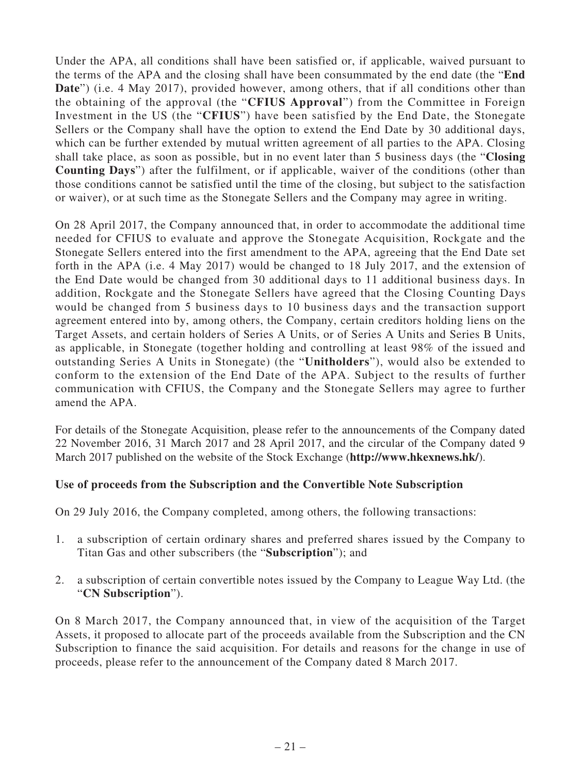Under the APA, all conditions shall have been satisfied or, if applicable, waived pursuant to the terms of the APA and the closing shall have been consummated by the end date (the "**End Date**") (i.e. 4 May 2017), provided however, among others, that if all conditions other than the obtaining of the approval (the "**CFIUS Approval**") from the Committee in Foreign Investment in the US (the "**CFIUS**") have been satisfied by the End Date, the Stonegate Sellers or the Company shall have the option to extend the End Date by 30 additional days, which can be further extended by mutual written agreement of all parties to the APA. Closing shall take place, as soon as possible, but in no event later than 5 business days (the "**Closing Counting Days**") after the fulfilment, or if applicable, waiver of the conditions (other than those conditions cannot be satisfied until the time of the closing, but subject to the satisfaction or waiver), or at such time as the Stonegate Sellers and the Company may agree in writing.

On 28 April 2017, the Company announced that, in order to accommodate the additional time needed for CFIUS to evaluate and approve the Stonegate Acquisition, Rockgate and the Stonegate Sellers entered into the first amendment to the APA, agreeing that the End Date set forth in the APA (i.e. 4 May 2017) would be changed to 18 July 2017, and the extension of the End Date would be changed from 30 additional days to 11 additional business days. In addition, Rockgate and the Stonegate Sellers have agreed that the Closing Counting Days would be changed from 5 business days to 10 business days and the transaction support agreement entered into by, among others, the Company, certain creditors holding liens on the Target Assets, and certain holders of Series A Units, or of Series A Units and Series B Units, as applicable, in Stonegate (together holding and controlling at least 98% of the issued and outstanding Series A Units in Stonegate) (the "**Unitholders**"), would also be extended to conform to the extension of the End Date of the APA. Subject to the results of further communication with CFIUS, the Company and the Stonegate Sellers may agree to further amend the APA.

For details of the Stonegate Acquisition, please refer to the announcements of the Company dated 22 November 2016, 31 March 2017 and 28 April 2017, and the circular of the Company dated 9 March 2017 published on the website of the Stock Exchange (**http://www.hkexnews.hk/**).

# **Use of proceeds from the Subscription and the Convertible Note Subscription**

On 29 July 2016, the Company completed, among others, the following transactions:

- 1. a subscription of certain ordinary shares and preferred shares issued by the Company to Titan Gas and other subscribers (the "**Subscription**"); and
- 2. a subscription of certain convertible notes issued by the Company to League Way Ltd. (the "**CN Subscription**").

On 8 March 2017, the Company announced that, in view of the acquisition of the Target Assets, it proposed to allocate part of the proceeds available from the Subscription and the CN Subscription to finance the said acquisition. For details and reasons for the change in use of proceeds, please refer to the announcement of the Company dated 8 March 2017.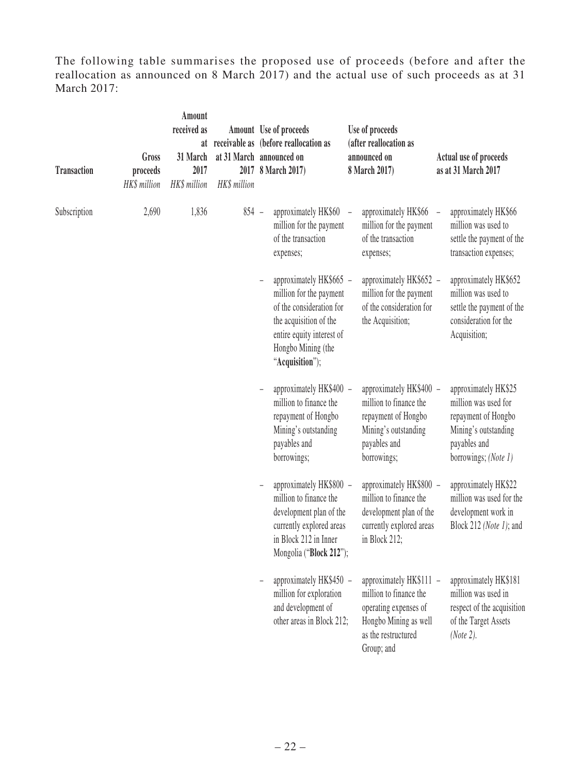The following table summarises the proposed use of proceeds (before and after the reallocation as announced on 8 March 2017) and the actual use of such proceeds as at 31 March 2017:

| <b>Transaction</b> | Gross<br>proceeds<br>HK\$ million | Amount<br>received as<br>31 March<br>2017<br>HK\$ million | HK\$ million | Amount Use of proceeds<br>at receivable as (before reallocation as<br>at 31 March announced on<br>2017 8 March 2017)                                                           | Use of proceeds<br>(after reallocation as<br>announced on<br>8 March 2017)                                                               | Actual use of proceeds<br>as at 31 March 2017                                                                                       |
|--------------------|-----------------------------------|-----------------------------------------------------------|--------------|--------------------------------------------------------------------------------------------------------------------------------------------------------------------------------|------------------------------------------------------------------------------------------------------------------------------------------|-------------------------------------------------------------------------------------------------------------------------------------|
| Subscription       | 2,690                             | 1,836                                                     | $854 -$      | approximately HK\$60<br>million for the payment<br>of the transaction<br>expenses;                                                                                             | approximately HK\$66<br>million for the payment<br>of the transaction<br>expenses;                                                       | approximately HK\$66<br>million was used to<br>settle the payment of the<br>transaction expenses;                                   |
|                    |                                   |                                                           |              | approximately HK\$665 -<br>million for the payment<br>of the consideration for<br>the acquisition of the<br>entire equity interest of<br>Hongbo Mining (the<br>"Acquisition"); | approximately HK\$652 -<br>million for the payment<br>of the consideration for<br>the Acquisition;                                       | approximately HK\$652<br>million was used to<br>settle the payment of the<br>consideration for the<br>Acquisition;                  |
|                    |                                   |                                                           |              | approximately HK\$400 -<br>million to finance the<br>repayment of Hongbo<br>Mining's outstanding<br>payables and<br>borrowings;                                                | approximately HK\$400 -<br>million to finance the<br>repayment of Hongbo<br>Mining's outstanding<br>payables and<br>borrowings;          | approximately HK\$25<br>million was used for<br>repayment of Hongbo<br>Mining's outstanding<br>payables and<br>borrowings; (Note 1) |
|                    |                                   |                                                           |              | approximately HK\$800 -<br>million to finance the<br>development plan of the<br>currently explored areas<br>in Block 212 in Inner<br>Mongolia ("Block 212");                   | approximately HK\$800 -<br>million to finance the<br>development plan of the<br>currently explored areas<br>in Block 212;                | approximately HK\$22<br>million was used for the<br>development work in<br>Block 212 (Note 1); and                                  |
|                    |                                   |                                                           |              | approximately HK\$450 -<br>million for exploration<br>and development of<br>other areas in Block 212;                                                                          | approximately HK\$111 -<br>million to finance the<br>operating expenses of<br>Hongbo Mining as well<br>as the restructured<br>Group; and | approximately HK\$181<br>million was used in<br>respect of the acquisition<br>of the Target Assets<br>(Note 2).                     |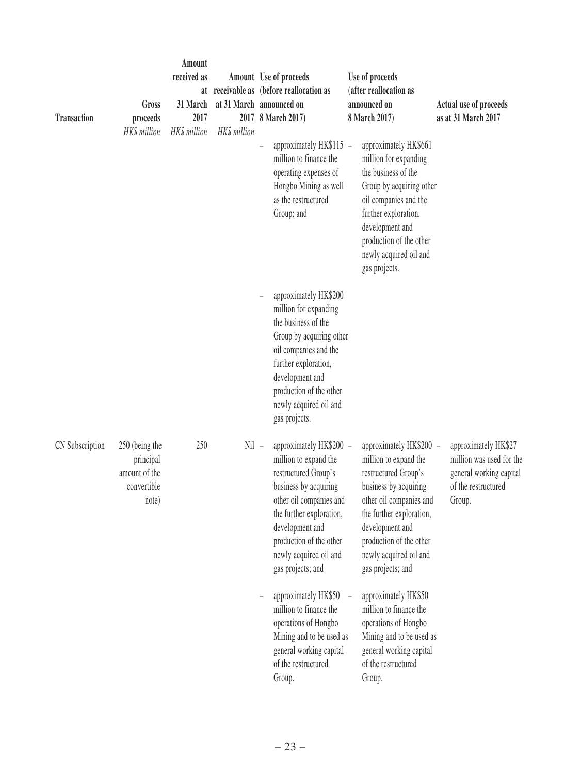| <b>Transaction</b> | Gross<br>proceeds<br>HK\$ million                                    | Amount<br>received as<br>31 March<br>2017<br>HK\$ million | at 31 March announced on<br>HK\$ million | Amount Use of proceeds<br>at receivable as (before reallocation as<br>2017 8 March 2017)                                                                                                                                                              | Use of proceeds<br>(after reallocation as<br>announced on<br>8 March 2017)                                                                                                                                                                            | Actual use of proceeds<br>as at 31 March 2017                                                                |
|--------------------|----------------------------------------------------------------------|-----------------------------------------------------------|------------------------------------------|-------------------------------------------------------------------------------------------------------------------------------------------------------------------------------------------------------------------------------------------------------|-------------------------------------------------------------------------------------------------------------------------------------------------------------------------------------------------------------------------------------------------------|--------------------------------------------------------------------------------------------------------------|
|                    |                                                                      |                                                           |                                          | approximately HK\$115 -<br>million to finance the<br>operating expenses of<br>Hongbo Mining as well<br>as the restructured<br>Group; and                                                                                                              | approximately HK\$661<br>million for expanding<br>the business of the<br>Group by acquiring other<br>oil companies and the<br>further exploration,<br>development and<br>production of the other<br>newly acquired oil and<br>gas projects.           |                                                                                                              |
|                    |                                                                      |                                                           |                                          | approximately HK\$200<br>million for expanding<br>the business of the<br>Group by acquiring other<br>oil companies and the<br>further exploration,<br>development and<br>production of the other<br>newly acquired oil and<br>gas projects.           |                                                                                                                                                                                                                                                       |                                                                                                              |
| CN Subscription    | 250 (being the<br>principal<br>amount of the<br>convertible<br>note) | 250                                                       | $Nil -$                                  | approximately HK\$200 -<br>million to expand the<br>restructured Group's<br>business by acquiring<br>other oil companies and<br>the further exploration,<br>development and<br>production of the other<br>newly acquired oil and<br>gas projects; and | approximately HK\$200 -<br>million to expand the<br>restructured Group's<br>business by acquiring<br>other oil companies and<br>the further exploration,<br>development and<br>production of the other<br>newly acquired oil and<br>gas projects; and | approximately HK\$27<br>million was used for the<br>general working capital<br>of the restructured<br>Group. |
|                    |                                                                      |                                                           |                                          | approximately HK\$50<br>million to finance the<br>operations of Hongbo<br>Mining and to be used as<br>general working capital<br>of the restructured<br>Group.                                                                                        | approximately HK\$50<br>million to finance the<br>operations of Hongbo<br>Mining and to be used as<br>general working capital<br>of the restructured<br>Group.                                                                                        |                                                                                                              |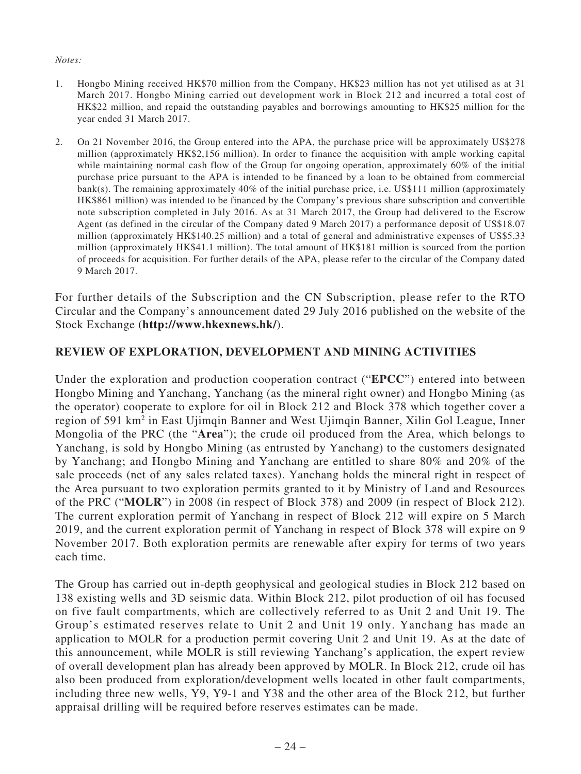#### *Notes:*

- 1. Hongbo Mining received HK\$70 million from the Company, HK\$23 million has not yet utilised as at 31 March 2017. Hongbo Mining carried out development work in Block 212 and incurred a total cost of HK\$22 million, and repaid the outstanding payables and borrowings amounting to HK\$25 million for the year ended 31 March 2017.
- 2. On 21 November 2016, the Group entered into the APA, the purchase price will be approximately US\$278 million (approximately HK\$2,156 million). In order to finance the acquisition with ample working capital while maintaining normal cash flow of the Group for ongoing operation, approximately 60% of the initial purchase price pursuant to the APA is intended to be financed by a loan to be obtained from commercial bank(s). The remaining approximately 40% of the initial purchase price, i.e. US\$111 million (approximately HK\$861 million) was intended to be financed by the Company's previous share subscription and convertible note subscription completed in July 2016. As at 31 March 2017, the Group had delivered to the Escrow Agent (as defined in the circular of the Company dated 9 March 2017) a performance deposit of US\$18.07 million (approximately HK\$140.25 million) and a total of general and administrative expenses of US\$5.33 million (approximately HK\$41.1 million). The total amount of HK\$181 million is sourced from the portion of proceeds for acquisition. For further details of the APA, please refer to the circular of the Company dated 9 March 2017.

For further details of the Subscription and the CN Subscription, please refer to the RTO Circular and the Company's announcement dated 29 July 2016 published on the website of the Stock Exchange (**http://www.hkexnews.hk/**).

# **REVIEW OF EXPLORATION, DEVELOPMENT AND MINING ACTIVITIES**

Under the exploration and production cooperation contract ("**EPCC**") entered into between Hongbo Mining and Yanchang, Yanchang (as the mineral right owner) and Hongbo Mining (as the operator) cooperate to explore for oil in Block 212 and Block 378 which together cover a region of 591 km2 in East Ujimqin Banner and West Ujimqin Banner, Xilin Gol League, Inner Mongolia of the PRC (the "**Area**"); the crude oil produced from the Area, which belongs to Yanchang, is sold by Hongbo Mining (as entrusted by Yanchang) to the customers designated by Yanchang; and Hongbo Mining and Yanchang are entitled to share 80% and 20% of the sale proceeds (net of any sales related taxes). Yanchang holds the mineral right in respect of the Area pursuant to two exploration permits granted to it by Ministry of Land and Resources of the PRC ("**MOLR**") in 2008 (in respect of Block 378) and 2009 (in respect of Block 212). The current exploration permit of Yanchang in respect of Block 212 will expire on 5 March 2019, and the current exploration permit of Yanchang in respect of Block 378 will expire on 9 November 2017. Both exploration permits are renewable after expiry for terms of two years each time.

The Group has carried out in-depth geophysical and geological studies in Block 212 based on 138 existing wells and 3D seismic data. Within Block 212, pilot production of oil has focused on five fault compartments, which are collectively referred to as Unit 2 and Unit 19. The Group's estimated reserves relate to Unit 2 and Unit 19 only. Yanchang has made an application to MOLR for a production permit covering Unit 2 and Unit 19. As at the date of this announcement, while MOLR is still reviewing Yanchang's application, the expert review of overall development plan has already been approved by MOLR. In Block 212, crude oil has also been produced from exploration/development wells located in other fault compartments, including three new wells, Y9, Y9-1 and Y38 and the other area of the Block 212, but further appraisal drilling will be required before reserves estimates can be made.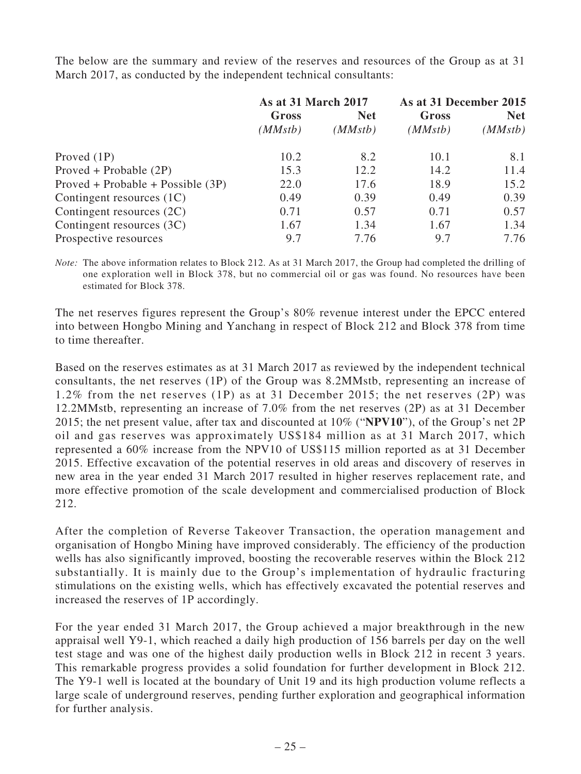The below are the summary and review of the reserves and resources of the Group as at 31 March 2017, as conducted by the independent technical consultants:

|                                     | As at 31 March 2017 |            | As at 31 December 2015 |            |
|-------------------------------------|---------------------|------------|------------------------|------------|
|                                     | Gross               | <b>Net</b> | Gross                  | <b>Net</b> |
|                                     | (MMstb)             | (MMstb)    | (MMstb)                | (MMstb)    |
| Proved $(1P)$                       | 10.2                | 8.2        | 10.1                   | 8.1        |
| $Proved + Probable (2P)$            | 15.3                | 12.2       | 14.2                   | 11.4       |
| $Proved + Probable + Possible (3P)$ | 22.0                | 17.6       | 18.9                   | 15.2       |
| Contingent resources $(1C)$         | 0.49                | 0.39       | 0.49                   | 0.39       |
| Contingent resources (2C)           | 0.71                | 0.57       | 0.71                   | 0.57       |
| Contingent resources (3C)           | 1.67                | 1.34       | 1.67                   | 1.34       |
| Prospective resources               | 9.7                 | 7.76       | 9.7                    | 7.76       |

*Note:* The above information relates to Block 212. As at 31 March 2017, the Group had completed the drilling of one exploration well in Block 378, but no commercial oil or gas was found. No resources have been estimated for Block 378.

The net reserves figures represent the Group's 80% revenue interest under the EPCC entered into between Hongbo Mining and Yanchang in respect of Block 212 and Block 378 from time to time thereafter.

Based on the reserves estimates as at 31 March 2017 as reviewed by the independent technical consultants, the net reserves (1P) of the Group was 8.2MMstb, representing an increase of 1.2% from the net reserves (1P) as at 31 December 2015; the net reserves (2P) was 12.2MMstb, representing an increase of 7.0% from the net reserves (2P) as at 31 December 2015; the net present value, after tax and discounted at 10% ("**NPV10**"), of the Group's net 2P oil and gas reserves was approximately US\$184 million as at 31 March 2017, which represented a 60% increase from the NPV10 of US\$115 million reported as at 31 December 2015. Effective excavation of the potential reserves in old areas and discovery of reserves in new area in the year ended 31 March 2017 resulted in higher reserves replacement rate, and more effective promotion of the scale development and commercialised production of Block 212.

After the completion of Reverse Takeover Transaction, the operation management and organisation of Hongbo Mining have improved considerably. The efficiency of the production wells has also significantly improved, boosting the recoverable reserves within the Block 212 substantially. It is mainly due to the Group's implementation of hydraulic fracturing stimulations on the existing wells, which has effectively excavated the potential reserves and increased the reserves of 1P accordingly.

For the year ended 31 March 2017, the Group achieved a major breakthrough in the new appraisal well Y9-1, which reached a daily high production of 156 barrels per day on the well test stage and was one of the highest daily production wells in Block 212 in recent 3 years. This remarkable progress provides a solid foundation for further development in Block 212. The Y9-1 well is located at the boundary of Unit 19 and its high production volume reflects a large scale of underground reserves, pending further exploration and geographical information for further analysis.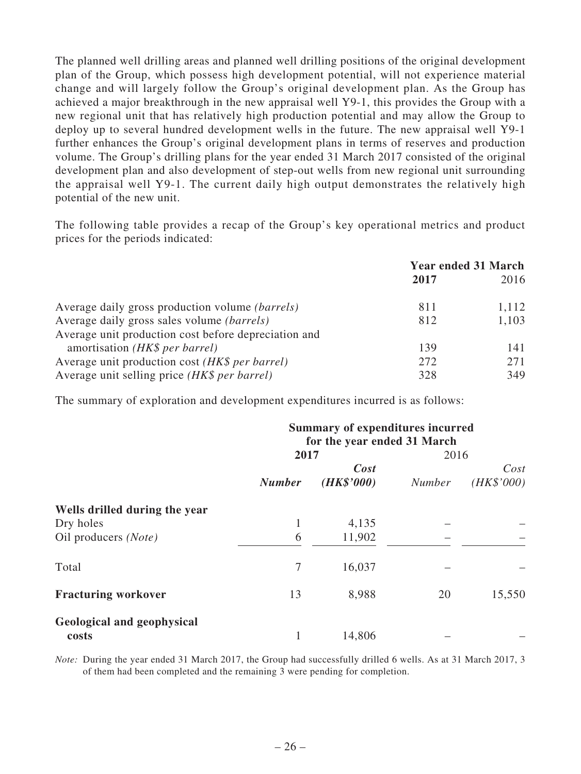The planned well drilling areas and planned well drilling positions of the original development plan of the Group, which possess high development potential, will not experience material change and will largely follow the Group's original development plan. As the Group has achieved a major breakthrough in the new appraisal well Y9-1, this provides the Group with a new regional unit that has relatively high production potential and may allow the Group to deploy up to several hundred development wells in the future. The new appraisal well Y9-1 further enhances the Group's original development plans in terms of reserves and production volume. The Group's drilling plans for the year ended 31 March 2017 consisted of the original development plan and also development of step-out wells from new regional unit surrounding the appraisal well Y9-1. The current daily high output demonstrates the relatively high potential of the new unit.

The following table provides a recap of the Group's key operational metrics and product prices for the periods indicated:

|                                                        | <b>Year ended 31 March</b> |       |  |
|--------------------------------------------------------|----------------------------|-------|--|
|                                                        | 2017                       | 2016  |  |
| Average daily gross production volume <i>(barrels)</i> | 811                        | 1,112 |  |
| Average daily gross sales volume <i>(barrels)</i>      | 812                        | 1,103 |  |
| Average unit production cost before depreciation and   |                            |       |  |
| amortisation (HK\$ per barrel)                         | 139                        | 141   |  |
| Average unit production cost (HK\$ per barrel)         | 272                        | 271   |  |
| Average unit selling price (HK\$ per barrel)           | 328                        | 349   |  |

The summary of exploration and development expenditures incurred is as follows:

|                                            | <b>Summary of expenditures incurred</b><br>for the year ended 31 March |            |               |            |  |
|--------------------------------------------|------------------------------------------------------------------------|------------|---------------|------------|--|
|                                            | 2017                                                                   |            | 2016          |            |  |
|                                            | Cost                                                                   |            |               | Cost       |  |
|                                            | <b>Number</b>                                                          | (HK\$'000) | <b>Number</b> | (HK\$'000) |  |
| Wells drilled during the year              |                                                                        |            |               |            |  |
| Dry holes                                  | 1                                                                      | 4,135      |               |            |  |
| Oil producers (Note)                       | 6                                                                      | 11,902     |               |            |  |
| Total                                      | 7                                                                      | 16,037     |               |            |  |
| <b>Fracturing workover</b>                 | 13                                                                     | 8,988      | 20            | 15,550     |  |
| <b>Geological and geophysical</b><br>costs | 1                                                                      | 14,806     |               |            |  |

*Note:* During the year ended 31 March 2017, the Group had successfully drilled 6 wells. As at 31 March 2017, 3 of them had been completed and the remaining 3 were pending for completion.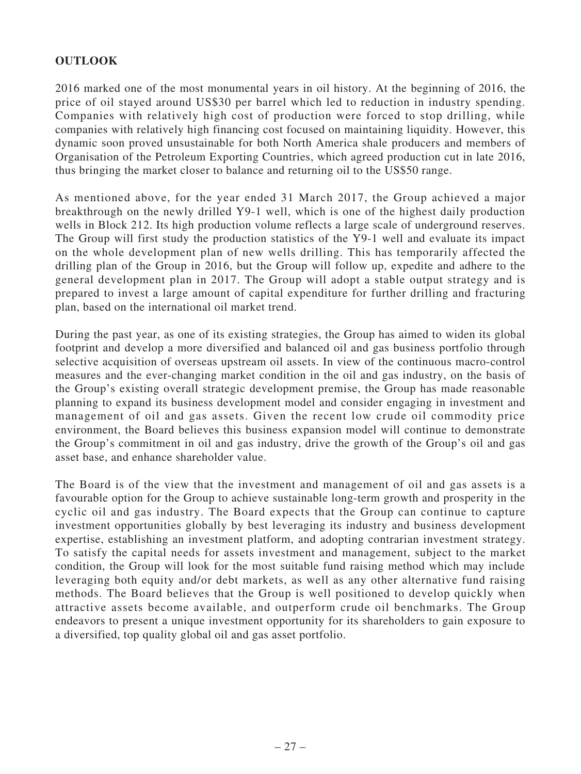# **OUTLOOK**

2016 marked one of the most monumental years in oil history. At the beginning of 2016, the price of oil stayed around US\$30 per barrel which led to reduction in industry spending. Companies with relatively high cost of production were forced to stop drilling, while companies with relatively high financing cost focused on maintaining liquidity. However, this dynamic soon proved unsustainable for both North America shale producers and members of Organisation of the Petroleum Exporting Countries, which agreed production cut in late 2016, thus bringing the market closer to balance and returning oil to the US\$50 range.

As mentioned above, for the year ended 31 March 2017, the Group achieved a major breakthrough on the newly drilled Y9-1 well, which is one of the highest daily production wells in Block 212. Its high production volume reflects a large scale of underground reserves. The Group will first study the production statistics of the Y9-1 well and evaluate its impact on the whole development plan of new wells drilling. This has temporarily affected the drilling plan of the Group in 2016, but the Group will follow up, expedite and adhere to the general development plan in 2017. The Group will adopt a stable output strategy and is prepared to invest a large amount of capital expenditure for further drilling and fracturing plan, based on the international oil market trend.

During the past year, as one of its existing strategies, the Group has aimed to widen its global footprint and develop a more diversified and balanced oil and gas business portfolio through selective acquisition of overseas upstream oil assets. In view of the continuous macro-control measures and the ever-changing market condition in the oil and gas industry, on the basis of the Group's existing overall strategic development premise, the Group has made reasonable planning to expand its business development model and consider engaging in investment and management of oil and gas assets. Given the recent low crude oil commodity price environment, the Board believes this business expansion model will continue to demonstrate the Group's commitment in oil and gas industry, drive the growth of the Group's oil and gas asset base, and enhance shareholder value.

The Board is of the view that the investment and management of oil and gas assets is a favourable option for the Group to achieve sustainable long-term growth and prosperity in the cyclic oil and gas industry. The Board expects that the Group can continue to capture investment opportunities globally by best leveraging its industry and business development expertise, establishing an investment platform, and adopting contrarian investment strategy. To satisfy the capital needs for assets investment and management, subject to the market condition, the Group will look for the most suitable fund raising method which may include leveraging both equity and/or debt markets, as well as any other alternative fund raising methods. The Board believes that the Group is well positioned to develop quickly when attractive assets become available, and outperform crude oil benchmarks. The Group endeavors to present a unique investment opportunity for its shareholders to gain exposure to a diversified, top quality global oil and gas asset portfolio.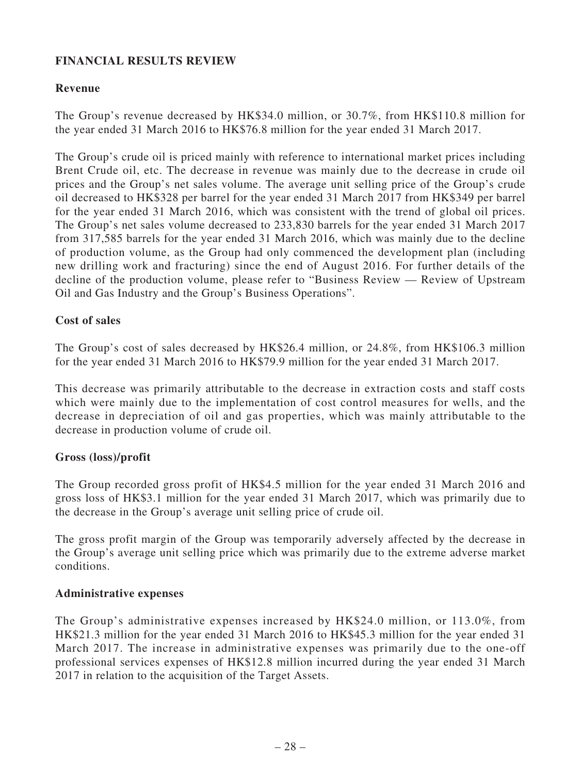# **FINANCIAL RESULTS REVIEW**

### **Revenue**

The Group's revenue decreased by HK\$34.0 million, or 30.7%, from HK\$110.8 million for the year ended 31 March 2016 to HK\$76.8 million for the year ended 31 March 2017.

The Group's crude oil is priced mainly with reference to international market prices including Brent Crude oil, etc. The decrease in revenue was mainly due to the decrease in crude oil prices and the Group's net sales volume. The average unit selling price of the Group's crude oil decreased to HK\$328 per barrel for the year ended 31 March 2017 from HK\$349 per barrel for the year ended 31 March 2016, which was consistent with the trend of global oil prices. The Group's net sales volume decreased to 233,830 barrels for the year ended 31 March 2017 from 317,585 barrels for the year ended 31 March 2016, which was mainly due to the decline of production volume, as the Group had only commenced the development plan (including new drilling work and fracturing) since the end of August 2016. For further details of the decline of the production volume, please refer to "Business Review — Review of Upstream Oil and Gas Industry and the Group's Business Operations".

### **Cost of sales**

The Group's cost of sales decreased by HK\$26.4 million, or 24.8%, from HK\$106.3 million for the year ended 31 March 2016 to HK\$79.9 million for the year ended 31 March 2017.

This decrease was primarily attributable to the decrease in extraction costs and staff costs which were mainly due to the implementation of cost control measures for wells, and the decrease in depreciation of oil and gas properties, which was mainly attributable to the decrease in production volume of crude oil.

### **Gross (loss)/profit**

The Group recorded gross profit of HK\$4.5 million for the year ended 31 March 2016 and gross loss of HK\$3.1 million for the year ended 31 March 2017, which was primarily due to the decrease in the Group's average unit selling price of crude oil.

The gross profit margin of the Group was temporarily adversely affected by the decrease in the Group's average unit selling price which was primarily due to the extreme adverse market conditions.

### **Administrative expenses**

The Group's administrative expenses increased by HK\$24.0 million, or 113.0%, from HK\$21.3 million for the year ended 31 March 2016 to HK\$45.3 million for the year ended 31 March 2017. The increase in administrative expenses was primarily due to the one-off professional services expenses of HK\$12.8 million incurred during the year ended 31 March 2017 in relation to the acquisition of the Target Assets.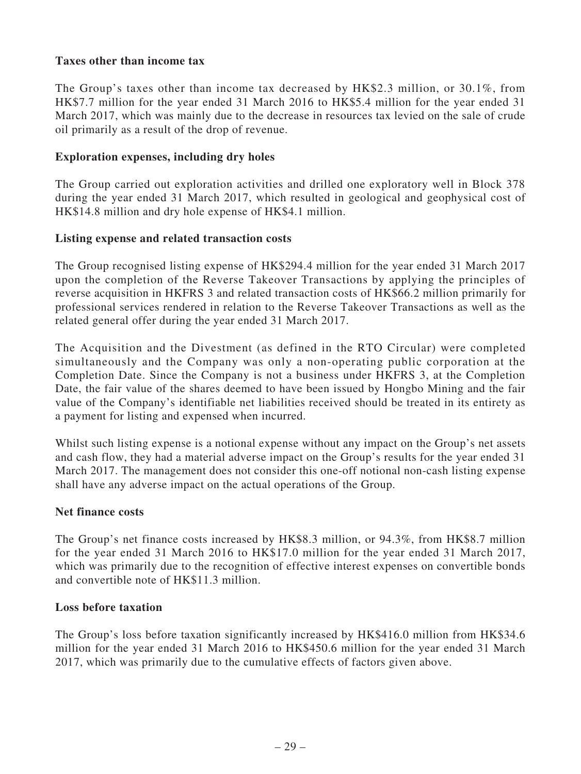# **Taxes other than income tax**

The Group's taxes other than income tax decreased by HK\$2.3 million, or 30.1%, from HK\$7.7 million for the year ended 31 March 2016 to HK\$5.4 million for the year ended 31 March 2017, which was mainly due to the decrease in resources tax levied on the sale of crude oil primarily as a result of the drop of revenue.

### **Exploration expenses, including dry holes**

The Group carried out exploration activities and drilled one exploratory well in Block 378 during the year ended 31 March 2017, which resulted in geological and geophysical cost of HK\$14.8 million and dry hole expense of HK\$4.1 million.

### **Listing expense and related transaction costs**

The Group recognised listing expense of HK\$294.4 million for the year ended 31 March 2017 upon the completion of the Reverse Takeover Transactions by applying the principles of reverse acquisition in HKFRS 3 and related transaction costs of HK\$66.2 million primarily for professional services rendered in relation to the Reverse Takeover Transactions as well as the related general offer during the year ended 31 March 2017.

The Acquisition and the Divestment (as defined in the RTO Circular) were completed simultaneously and the Company was only a non-operating public corporation at the Completion Date. Since the Company is not a business under HKFRS 3, at the Completion Date, the fair value of the shares deemed to have been issued by Hongbo Mining and the fair value of the Company's identifiable net liabilities received should be treated in its entirety as a payment for listing and expensed when incurred.

Whilst such listing expense is a notional expense without any impact on the Group's net assets and cash flow, they had a material adverse impact on the Group's results for the year ended 31 March 2017. The management does not consider this one-off notional non-cash listing expense shall have any adverse impact on the actual operations of the Group.

# **Net finance costs**

The Group's net finance costs increased by HK\$8.3 million, or 94.3%, from HK\$8.7 million for the year ended 31 March 2016 to HK\$17.0 million for the year ended 31 March 2017, which was primarily due to the recognition of effective interest expenses on convertible bonds and convertible note of HK\$11.3 million.

### **Loss before taxation**

The Group's loss before taxation significantly increased by HK\$416.0 million from HK\$34.6 million for the year ended 31 March 2016 to HK\$450.6 million for the year ended 31 March 2017, which was primarily due to the cumulative effects of factors given above.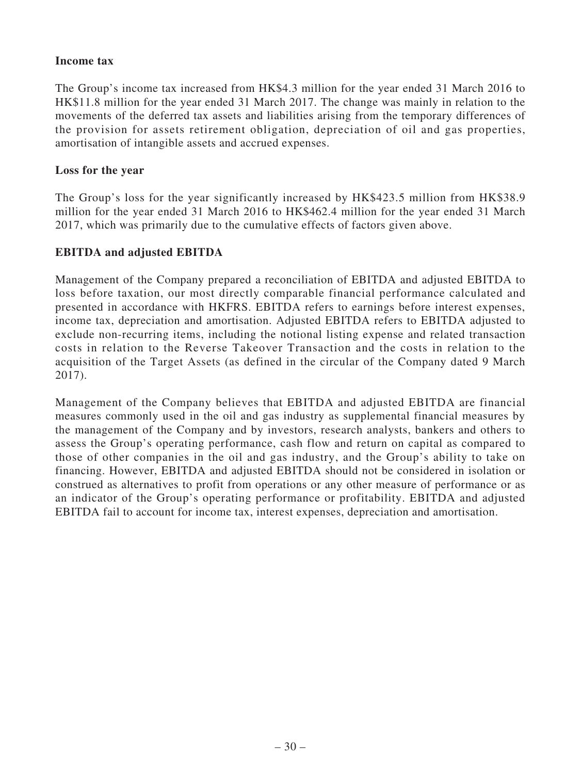### **Income tax**

The Group's income tax increased from HK\$4.3 million for the year ended 31 March 2016 to HK\$11.8 million for the year ended 31 March 2017. The change was mainly in relation to the movements of the deferred tax assets and liabilities arising from the temporary differences of the provision for assets retirement obligation, depreciation of oil and gas properties, amortisation of intangible assets and accrued expenses.

### **Loss for the year**

The Group's loss for the year significantly increased by HK\$423.5 million from HK\$38.9 million for the year ended 31 March 2016 to HK\$462.4 million for the year ended 31 March 2017, which was primarily due to the cumulative effects of factors given above.

# **EBITDA and adjusted EBITDA**

Management of the Company prepared a reconciliation of EBITDA and adjusted EBITDA to loss before taxation, our most directly comparable financial performance calculated and presented in accordance with HKFRS. EBITDA refers to earnings before interest expenses, income tax, depreciation and amortisation. Adjusted EBITDA refers to EBITDA adjusted to exclude non-recurring items, including the notional listing expense and related transaction costs in relation to the Reverse Takeover Transaction and the costs in relation to the acquisition of the Target Assets (as defined in the circular of the Company dated 9 March 2017).

Management of the Company believes that EBITDA and adjusted EBITDA are financial measures commonly used in the oil and gas industry as supplemental financial measures by the management of the Company and by investors, research analysts, bankers and others to assess the Group's operating performance, cash flow and return on capital as compared to those of other companies in the oil and gas industry, and the Group's ability to take on financing. However, EBITDA and adjusted EBITDA should not be considered in isolation or construed as alternatives to profit from operations or any other measure of performance or as an indicator of the Group's operating performance or profitability. EBITDA and adjusted EBITDA fail to account for income tax, interest expenses, depreciation and amortisation.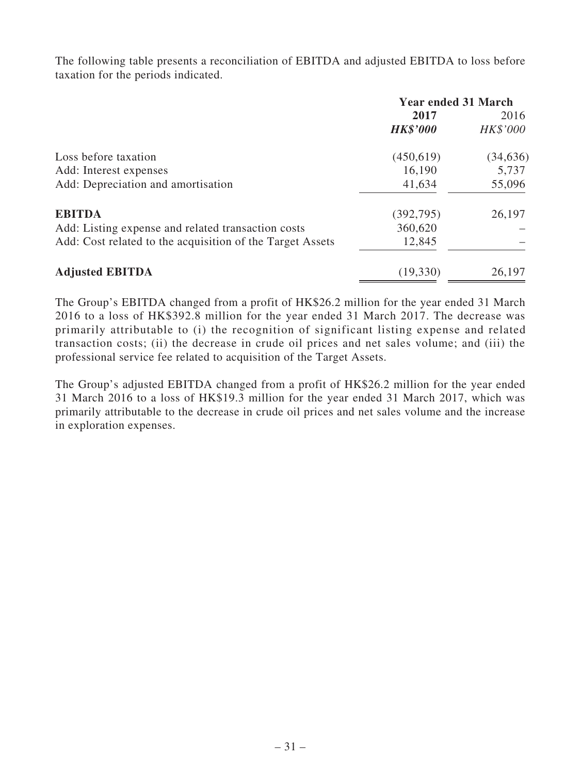The following table presents a reconciliation of EBITDA and adjusted EBITDA to loss before taxation for the periods indicated.

|                                                           | <b>Year ended 31 March</b> |           |  |
|-----------------------------------------------------------|----------------------------|-----------|--|
|                                                           | 2017                       | 2016      |  |
|                                                           | <b>HK\$'000</b>            | HK\$'000  |  |
| Loss before taxation                                      | (450,619)                  | (34, 636) |  |
| Add: Interest expenses                                    | 16,190                     | 5,737     |  |
| Add: Depreciation and amortisation                        | 41,634                     | 55,096    |  |
| <b>EBITDA</b>                                             | (392, 795)                 | 26,197    |  |
| Add: Listing expense and related transaction costs        | 360,620                    |           |  |
| Add: Cost related to the acquisition of the Target Assets | 12,845                     |           |  |
| <b>Adjusted EBITDA</b>                                    | (19, 330)                  | 26,197    |  |

The Group's EBITDA changed from a profit of HK\$26.2 million for the year ended 31 March 2016 to a loss of HK\$392.8 million for the year ended 31 March 2017. The decrease was primarily attributable to (i) the recognition of significant listing expense and related transaction costs; (ii) the decrease in crude oil prices and net sales volume; and (iii) the professional service fee related to acquisition of the Target Assets.

The Group's adjusted EBITDA changed from a profit of HK\$26.2 million for the year ended 31 March 2016 to a loss of HK\$19.3 million for the year ended 31 March 2017, which was primarily attributable to the decrease in crude oil prices and net sales volume and the increase in exploration expenses.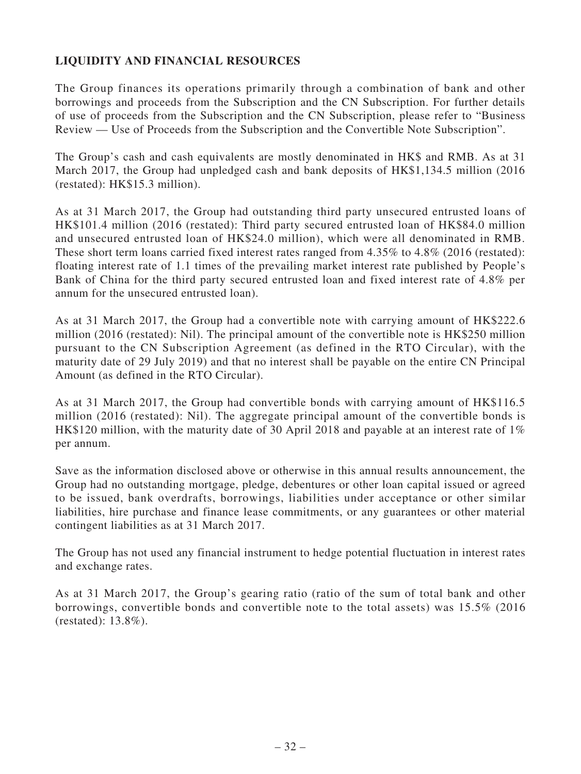# **LIQUIDITY AND FINANCIAL RESOURCES**

The Group finances its operations primarily through a combination of bank and other borrowings and proceeds from the Subscription and the CN Subscription. For further details of use of proceeds from the Subscription and the CN Subscription, please refer to "Business Review — Use of Proceeds from the Subscription and the Convertible Note Subscription".

The Group's cash and cash equivalents are mostly denominated in HK\$ and RMB. As at 31 March 2017, the Group had unpledged cash and bank deposits of HK\$1,134.5 million (2016 (restated): HK\$15.3 million).

As at 31 March 2017, the Group had outstanding third party unsecured entrusted loans of HK\$101.4 million (2016 (restated): Third party secured entrusted loan of HK\$84.0 million and unsecured entrusted loan of HK\$24.0 million), which were all denominated in RMB. These short term loans carried fixed interest rates ranged from 4.35% to 4.8% (2016 (restated): floating interest rate of 1.1 times of the prevailing market interest rate published by People's Bank of China for the third party secured entrusted loan and fixed interest rate of 4.8% per annum for the unsecured entrusted loan).

As at 31 March 2017, the Group had a convertible note with carrying amount of HK\$222.6 million (2016 (restated): Nil). The principal amount of the convertible note is HK\$250 million pursuant to the CN Subscription Agreement (as defined in the RTO Circular), with the maturity date of 29 July 2019) and that no interest shall be payable on the entire CN Principal Amount (as defined in the RTO Circular).

As at 31 March 2017, the Group had convertible bonds with carrying amount of HK\$116.5 million (2016 (restated): Nil). The aggregate principal amount of the convertible bonds is HK\$120 million, with the maturity date of 30 April 2018 and payable at an interest rate of 1% per annum.

Save as the information disclosed above or otherwise in this annual results announcement, the Group had no outstanding mortgage, pledge, debentures or other loan capital issued or agreed to be issued, bank overdrafts, borrowings, liabilities under acceptance or other similar liabilities, hire purchase and finance lease commitments, or any guarantees or other material contingent liabilities as at 31 March 2017.

The Group has not used any financial instrument to hedge potential fluctuation in interest rates and exchange rates.

As at 31 March 2017, the Group's gearing ratio (ratio of the sum of total bank and other borrowings, convertible bonds and convertible note to the total assets) was 15.5% (2016 (restated): 13.8%).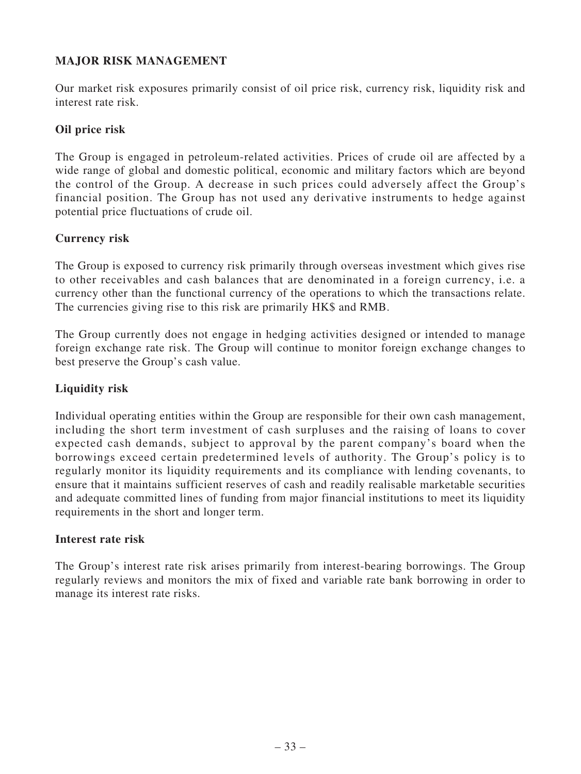# **MAJOR RISK MANAGEMENT**

Our market risk exposures primarily consist of oil price risk, currency risk, liquidity risk and interest rate risk.

# **Oil price risk**

The Group is engaged in petroleum-related activities. Prices of crude oil are affected by a wide range of global and domestic political, economic and military factors which are beyond the control of the Group. A decrease in such prices could adversely affect the Group's financial position. The Group has not used any derivative instruments to hedge against potential price fluctuations of crude oil.

# **Currency risk**

The Group is exposed to currency risk primarily through overseas investment which gives rise to other receivables and cash balances that are denominated in a foreign currency, i.e. a currency other than the functional currency of the operations to which the transactions relate. The currencies giving rise to this risk are primarily HK\$ and RMB.

The Group currently does not engage in hedging activities designed or intended to manage foreign exchange rate risk. The Group will continue to monitor foreign exchange changes to best preserve the Group's cash value.

# **Liquidity risk**

Individual operating entities within the Group are responsible for their own cash management, including the short term investment of cash surpluses and the raising of loans to cover expected cash demands, subject to approval by the parent company's board when the borrowings exceed certain predetermined levels of authority. The Group's policy is to regularly monitor its liquidity requirements and its compliance with lending covenants, to ensure that it maintains sufficient reserves of cash and readily realisable marketable securities and adequate committed lines of funding from major financial institutions to meet its liquidity requirements in the short and longer term.

# **Interest rate risk**

The Group's interest rate risk arises primarily from interest-bearing borrowings. The Group regularly reviews and monitors the mix of fixed and variable rate bank borrowing in order to manage its interest rate risks.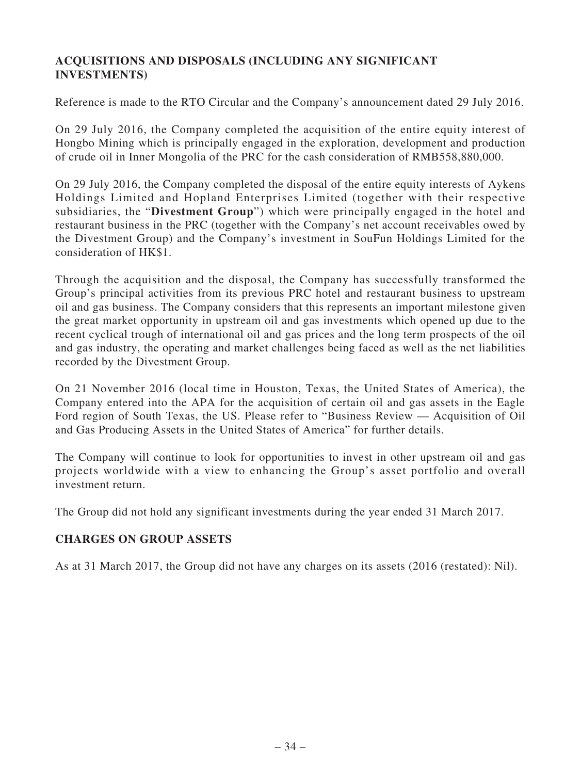# **ACQUISITIONS AND DISPOSALS (INCLUDING ANY SIGNIFICANT INVESTMENTS)**

Reference is made to the RTO Circular and the Company's announcement dated 29 July 2016.

On 29 July 2016, the Company completed the acquisition of the entire equity interest of Hongbo Mining which is principally engaged in the exploration, development and production of crude oil in Inner Mongolia of the PRC for the cash consideration of RMB558,880,000.

On 29 July 2016, the Company completed the disposal of the entire equity interests of Aykens Holdings Limited and Hopland Enterprises Limited (together with their respective subsidiaries, the "**Divestment Group**") which were principally engaged in the hotel and restaurant business in the PRC (together with the Company's net account receivables owed by the Divestment Group) and the Company's investment in SouFun Holdings Limited for the consideration of HK\$1.

Through the acquisition and the disposal, the Company has successfully transformed the Group's principal activities from its previous PRC hotel and restaurant business to upstream oil and gas business. The Company considers that this represents an important milestone given the great market opportunity in upstream oil and gas investments which opened up due to the recent cyclical trough of international oil and gas prices and the long term prospects of the oil and gas industry, the operating and market challenges being faced as well as the net liabilities recorded by the Divestment Group.

On 21 November 2016 (local time in Houston, Texas, the United States of America), the Company entered into the APA for the acquisition of certain oil and gas assets in the Eagle Ford region of South Texas, the US. Please refer to "Business Review — Acquisition of Oil and Gas Producing Assets in the United States of America" for further details.

The Company will continue to look for opportunities to invest in other upstream oil and gas projects worldwide with a view to enhancing the Group's asset portfolio and overall investment return.

The Group did not hold any significant investments during the year ended 31 March 2017.

# **CHARGES ON GROUP ASSETS**

As at 31 March 2017, the Group did not have any charges on its assets (2016 (restated): Nil).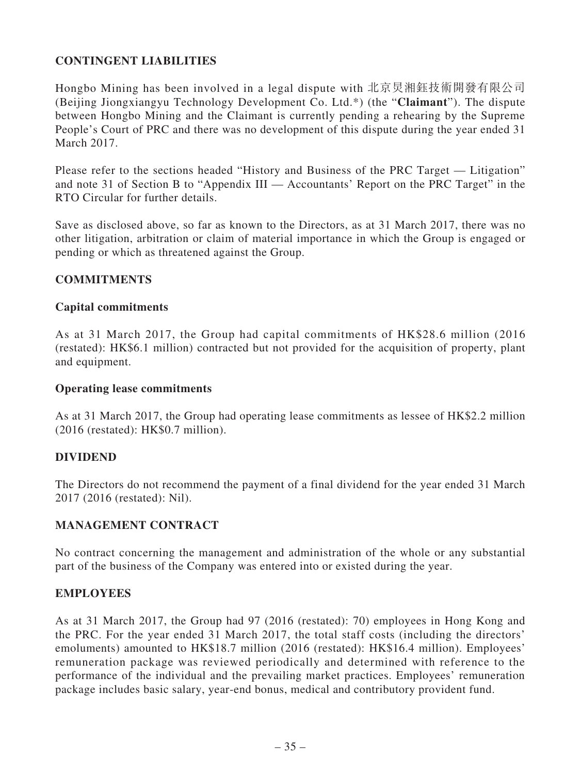# **CONTINGENT LIABILITIES**

Hongbo Mining has been involved in a legal dispute with 北京炅湘鈺技術開發有限公司 (Beijing Jiongxiangyu Technology Development Co. Ltd.\*) (the "**Claimant**"). The dispute between Hongbo Mining and the Claimant is currently pending a rehearing by the Supreme People's Court of PRC and there was no development of this dispute during the year ended 31 March 2017.

Please refer to the sections headed "History and Business of the PRC Target — Litigation" and note 31 of Section B to "Appendix III — Accountants' Report on the PRC Target" in the RTO Circular for further details.

Save as disclosed above, so far as known to the Directors, as at 31 March 2017, there was no other litigation, arbitration or claim of material importance in which the Group is engaged or pending or which as threatened against the Group.

### **COMMITMENTS**

### **Capital commitments**

As at 31 March 2017, the Group had capital commitments of HK\$28.6 million (2016 (restated): HK\$6.1 million) contracted but not provided for the acquisition of property, plant and equipment.

### **Operating lease commitments**

As at 31 March 2017, the Group had operating lease commitments as lessee of HK\$2.2 million (2016 (restated): HK\$0.7 million).

### **DIVIDEND**

The Directors do not recommend the payment of a final dividend for the year ended 31 March 2017 (2016 (restated): Nil).

### **MANAGEMENT CONTRACT**

No contract concerning the management and administration of the whole or any substantial part of the business of the Company was entered into or existed during the year.

### **EMPLOYEES**

As at 31 March 2017, the Group had 97 (2016 (restated): 70) employees in Hong Kong and the PRC. For the year ended 31 March 2017, the total staff costs (including the directors' emoluments) amounted to HK\$18.7 million (2016 (restated): HK\$16.4 million). Employees' remuneration package was reviewed periodically and determined with reference to the performance of the individual and the prevailing market practices. Employees' remuneration package includes basic salary, year-end bonus, medical and contributory provident fund.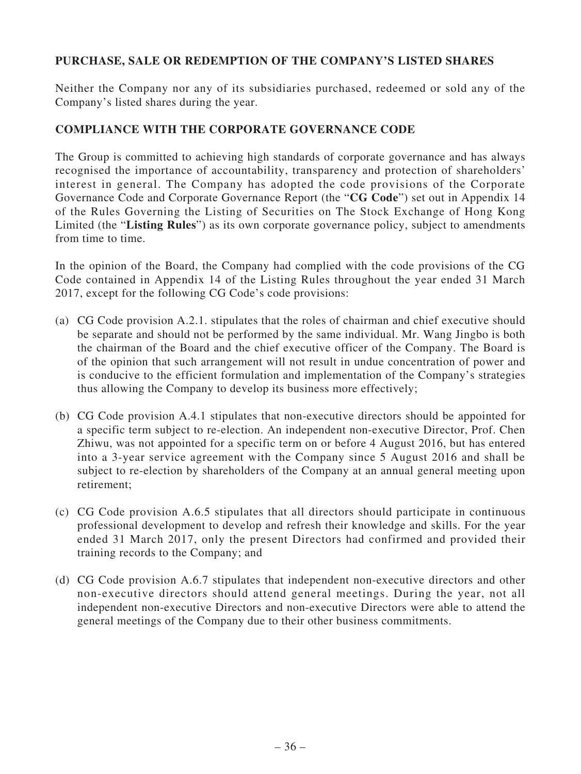# **PURCHASE, SALE OR REDEMPTION OF THE COMPANY'S LISTED SHARES**

Neither the Company nor any of its subsidiaries purchased, redeemed or sold any of the Company's listed shares during the year.

### **COMPLIANCE WITH THE CORPORATE GOVERNANCE CODE**

The Group is committed to achieving high standards of corporate governance and has always recognised the importance of accountability, transparency and protection of shareholders' interest in general. The Company has adopted the code provisions of the Corporate Governance Code and Corporate Governance Report (the "**CG Code**") set out in Appendix 14 of the Rules Governing the Listing of Securities on The Stock Exchange of Hong Kong Limited (the "**Listing Rules**") as its own corporate governance policy, subject to amendments from time to time.

In the opinion of the Board, the Company had complied with the code provisions of the CG Code contained in Appendix 14 of the Listing Rules throughout the year ended 31 March 2017, except for the following CG Code's code provisions:

- (a) CG Code provision A.2.1. stipulates that the roles of chairman and chief executive should be separate and should not be performed by the same individual. Mr. Wang Jingbo is both the chairman of the Board and the chief executive officer of the Company. The Board is of the opinion that such arrangement will not result in undue concentration of power and is conducive to the efficient formulation and implementation of the Company's strategies thus allowing the Company to develop its business more effectively;
- (b) CG Code provision A.4.1 stipulates that non-executive directors should be appointed for a specific term subject to re-election. An independent non-executive Director, Prof. Chen Zhiwu, was not appointed for a specific term on or before 4 August 2016, but has entered into a 3-year service agreement with the Company since 5 August 2016 and shall be subject to re-election by shareholders of the Company at an annual general meeting upon retirement;
- (c) CG Code provision A.6.5 stipulates that all directors should participate in continuous professional development to develop and refresh their knowledge and skills. For the year ended 31 March 2017, only the present Directors had confirmed and provided their training records to the Company; and
- (d) CG Code provision A.6.7 stipulates that independent non-executive directors and other non-executive directors should attend general meetings. During the year, not all independent non-executive Directors and non-executive Directors were able to attend the general meetings of the Company due to their other business commitments.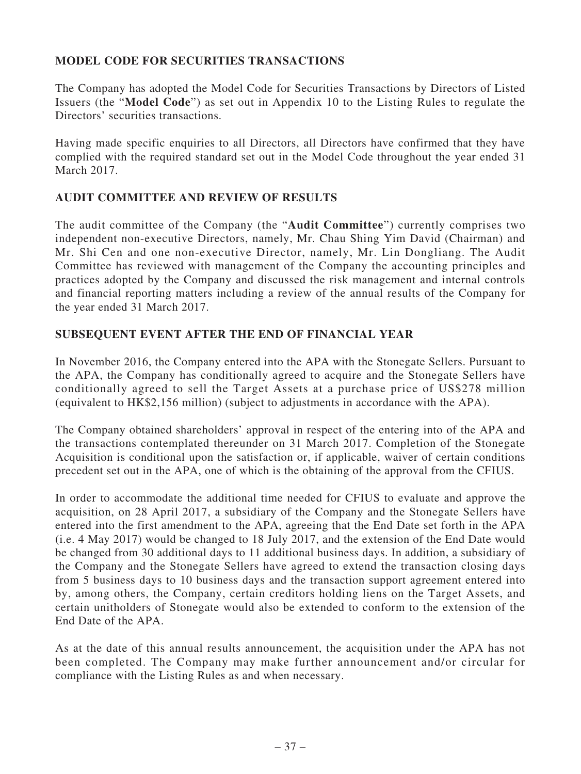# **MODEL CODE FOR SECURITIES TRANSACTIONS**

The Company has adopted the Model Code for Securities Transactions by Directors of Listed Issuers (the "**Model Code**") as set out in Appendix 10 to the Listing Rules to regulate the Directors' securities transactions.

Having made specific enquiries to all Directors, all Directors have confirmed that they have complied with the required standard set out in the Model Code throughout the year ended 31 March 2017.

# **AUDIT COMMITTEE AND REVIEW OF RESULTS**

The audit committee of the Company (the "**Audit Committee**") currently comprises two independent non-executive Directors, namely, Mr. Chau Shing Yim David (Chairman) and Mr. Shi Cen and one non-executive Director, namely, Mr. Lin Dongliang. The Audit Committee has reviewed with management of the Company the accounting principles and practices adopted by the Company and discussed the risk management and internal controls and financial reporting matters including a review of the annual results of the Company for the year ended 31 March 2017.

# **SUBSEQUENT EVENT AFTER THE END OF FINANCIAL YEAR**

In November 2016, the Company entered into the APA with the Stonegate Sellers. Pursuant to the APA, the Company has conditionally agreed to acquire and the Stonegate Sellers have conditionally agreed to sell the Target Assets at a purchase price of US\$278 million (equivalent to HK\$2,156 million) (subject to adjustments in accordance with the APA).

The Company obtained shareholders' approval in respect of the entering into of the APA and the transactions contemplated thereunder on 31 March 2017. Completion of the Stonegate Acquisition is conditional upon the satisfaction or, if applicable, waiver of certain conditions precedent set out in the APA, one of which is the obtaining of the approval from the CFIUS.

In order to accommodate the additional time needed for CFIUS to evaluate and approve the acquisition, on 28 April 2017, a subsidiary of the Company and the Stonegate Sellers have entered into the first amendment to the APA, agreeing that the End Date set forth in the APA (i.e. 4 May 2017) would be changed to 18 July 2017, and the extension of the End Date would be changed from 30 additional days to 11 additional business days. In addition, a subsidiary of the Company and the Stonegate Sellers have agreed to extend the transaction closing days from 5 business days to 10 business days and the transaction support agreement entered into by, among others, the Company, certain creditors holding liens on the Target Assets, and certain unitholders of Stonegate would also be extended to conform to the extension of the End Date of the APA.

As at the date of this annual results announcement, the acquisition under the APA has not been completed. The Company may make further announcement and/or circular for compliance with the Listing Rules as and when necessary.